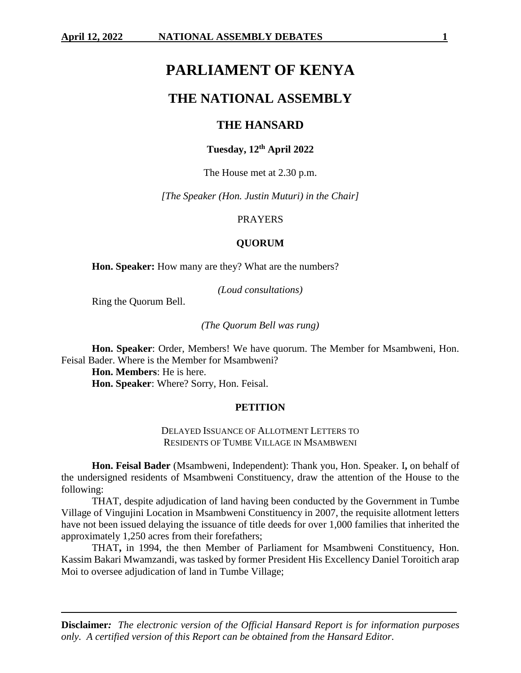# **PARLIAMENT OF KENYA**

# **THE NATIONAL ASSEMBLY**

# **THE HANSARD**

# **Tuesday, 12 th April 2022**

The House met at 2.30 p.m.

*[The Speaker (Hon. Justin Muturi) in the Chair]*

#### PRAYERS

#### **QUORUM**

**Hon. Speaker:** How many are they? What are the numbers?

*(Loud consultations)*

Ring the Quorum Bell.

*(The Quorum Bell was rung)*

**Hon. Speaker**: Order, Members! We have quorum. The Member for Msambweni, Hon. Feisal Bader. Where is the Member for Msambweni?

**Hon. Members**: He is here.

**Hon. Speaker**: Where? Sorry, Hon. Feisal.

#### **PETITION**

DELAYED ISSUANCE OF ALLOTMENT LETTERS TO RESIDENTS OF TUMBE VILLAGE IN MSAMBWENI

**Hon. Feisal Bader** (Msambweni, Independent): Thank you, Hon. Speaker. I**,** on behalf of the undersigned residents of Msambweni Constituency, draw the attention of the House to the following:

THAT, despite adjudication of land having been conducted by the Government in Tumbe Village of Vingujini Location in Msambweni Constituency in 2007, the requisite allotment letters have not been issued delaying the issuance of title deeds for over 1,000 families that inherited the approximately 1,250 acres from their forefathers;

THAT**,** in 1994, the then Member of Parliament for Msambweni Constituency, Hon. Kassim Bakari Mwamzandi, was tasked by former President His Excellency Daniel Toroitich arap Moi to oversee adjudication of land in Tumbe Village;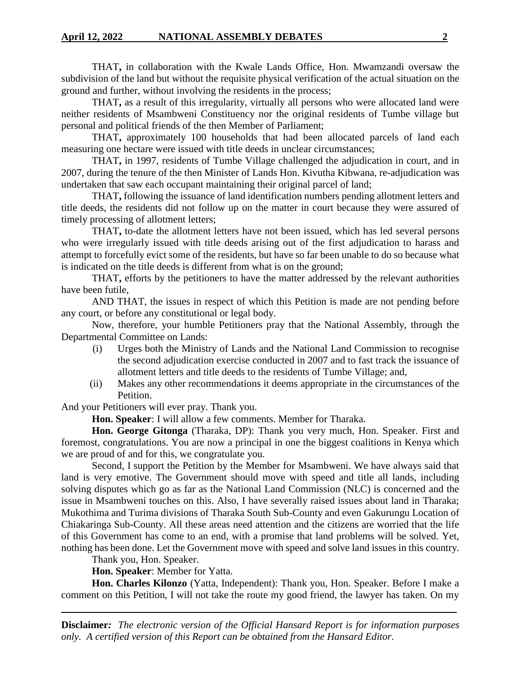THAT**,** in collaboration with the Kwale Lands Office, Hon. Mwamzandi oversaw the subdivision of the land but without the requisite physical verification of the actual situation on the ground and further, without involving the residents in the process;

THAT**,** as a result of this irregularity, virtually all persons who were allocated land were neither residents of Msambweni Constituency nor the original residents of Tumbe village but personal and political friends of the then Member of Parliament;

THAT**,** approximately 100 households that had been allocated parcels of land each measuring one hectare were issued with title deeds in unclear circumstances;

THAT**,** in 1997, residents of Tumbe Village challenged the adjudication in court, and in 2007, during the tenure of the then Minister of Lands Hon. Kivutha Kibwana, re-adjudication was undertaken that saw each occupant maintaining their original parcel of land;

THAT**,** following the issuance of land identification numbers pending allotment letters and title deeds, the residents did not follow up on the matter in court because they were assured of timely processing of allotment letters;

THAT**,** to-date the allotment letters have not been issued, which has led several persons who were irregularly issued with title deeds arising out of the first adjudication to harass and attempt to forcefully evict some of the residents, but have so far been unable to do so because what is indicated on the title deeds is different from what is on the ground;

THAT**,** efforts by the petitioners to have the matter addressed by the relevant authorities have been futile,

AND THAT, the issues in respect of which this Petition is made are not pending before any court, or before any constitutional or legal body.

Now, therefore, your humble Petitioners pray that the National Assembly, through the Departmental Committee on Lands:

- (i) Urges both the Ministry of Lands and the National Land Commission to recognise the second adjudication exercise conducted in 2007 and to fast track the issuance of allotment letters and title deeds to the residents of Tumbe Village; and,
- (ii) Makes any other recommendations it deems appropriate in the circumstances of the Petition.

And your Petitioners will ever pray. Thank you.

**Hon. Speaker**: I will allow a few comments. Member for Tharaka.

**Hon. George Gitonga** (Tharaka, DP): Thank you very much, Hon. Speaker. First and foremost, congratulations. You are now a principal in one the biggest coalitions in Kenya which we are proud of and for this, we congratulate you.

Second, I support the Petition by the Member for Msambweni. We have always said that land is very emotive. The Government should move with speed and title all lands, including solving disputes which go as far as the National Land Commission (NLC) is concerned and the issue in Msambweni touches on this. Also, I have severally raised issues about land in Tharaka; Mukothima and Turima divisions of Tharaka South Sub-County and even Gakurungu Location of Chiakaringa Sub-County. All these areas need attention and the citizens are worried that the life of this Government has come to an end, with a promise that land problems will be solved. Yet, nothing has been done. Let the Government move with speed and solve land issues in this country.

Thank you, Hon. Speaker.

**Hon. Speaker**: Member for Yatta.

**Hon. Charles Kilonzo** (Yatta, Independent): Thank you, Hon. Speaker. Before I make a comment on this Petition, I will not take the route my good friend, the lawyer has taken. On my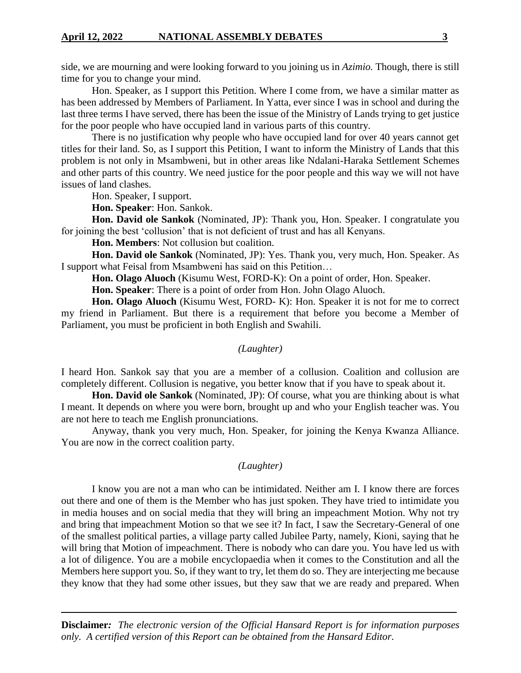side, we are mourning and were looking forward to you joining us in *Azimio.* Though, there is still time for you to change your mind.

Hon. Speaker, as I support this Petition. Where I come from, we have a similar matter as has been addressed by Members of Parliament. In Yatta, ever since I was in school and during the last three terms I have served, there has been the issue of the Ministry of Lands trying to get justice for the poor people who have occupied land in various parts of this country.

There is no justification why people who have occupied land for over 40 years cannot get titles for their land. So, as I support this Petition, I want to inform the Ministry of Lands that this problem is not only in Msambweni, but in other areas like Ndalani-Haraka Settlement Schemes and other parts of this country. We need justice for the poor people and this way we will not have issues of land clashes.

Hon. Speaker, I support.

**Hon. Speaker**: Hon. Sankok.

**Hon. David ole Sankok** (Nominated, JP): Thank you, Hon. Speaker. I congratulate you for joining the best 'collusion' that is not deficient of trust and has all Kenyans.

**Hon. Members**: Not collusion but coalition.

**Hon. David ole Sankok** (Nominated, JP): Yes. Thank you, very much, Hon. Speaker. As I support what Feisal from Msambweni has said on this Petition…

**Hon. Olago Aluoch** (Kisumu West, FORD-K): On a point of order, Hon. Speaker.

**Hon. Speaker**: There is a point of order from Hon. John Olago Aluoch.

**Hon. Olago Aluoch** (Kisumu West, FORD- K): Hon. Speaker it is not for me to correct my friend in Parliament. But there is a requirement that before you become a Member of Parliament, you must be proficient in both English and Swahili.

#### *(Laughter)*

I heard Hon. Sankok say that you are a member of a collusion. Coalition and collusion are completely different. Collusion is negative, you better know that if you have to speak about it.

**Hon. David ole Sankok** (Nominated, JP): Of course, what you are thinking about is what I meant. It depends on where you were born, brought up and who your English teacher was. You are not here to teach me English pronunciations.

Anyway, thank you very much, Hon. Speaker, for joining the Kenya Kwanza Alliance. You are now in the correct coalition party.

## *(Laughter)*

I know you are not a man who can be intimidated. Neither am I. I know there are forces out there and one of them is the Member who has just spoken. They have tried to intimidate you in media houses and on social media that they will bring an impeachment Motion. Why not try and bring that impeachment Motion so that we see it? In fact, I saw the Secretary-General of one of the smallest political parties, a village party called Jubilee Party, namely, Kioni, saying that he will bring that Motion of impeachment. There is nobody who can dare you. You have led us with a lot of diligence. You are a mobile encyclopaedia when it comes to the Constitution and all the Members here support you. So, if they want to try, let them do so. They are interjecting me because they know that they had some other issues, but they saw that we are ready and prepared. When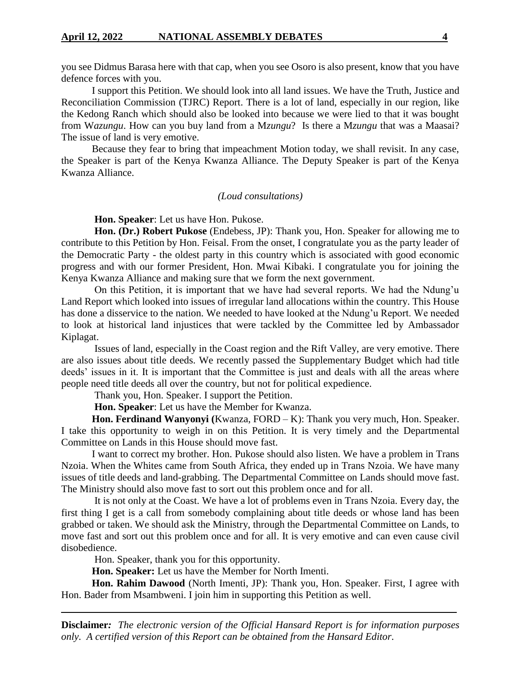you see Didmus Barasa here with that cap, when you see Osoro is also present, know that you have defence forces with you.

I support this Petition. We should look into all land issues. We have the Truth, Justice and Reconciliation Commission (TJRC) Report. There is a lot of land, especially in our region, like the Kedong Ranch which should also be looked into because we were lied to that it was bought from W*azungu*. How can you buy land from a M*zungu*? Is there a M*zungu* that was a Maasai? The issue of land is very emotive.

Because they fear to bring that impeachment Motion today, we shall revisit. In any case, the Speaker is part of the Kenya Kwanza Alliance. The Deputy Speaker is part of the Kenya Kwanza Alliance.

#### *(Loud consultations)*

**Hon. Speaker**: Let us have Hon. Pukose.

**Hon. (Dr.) Robert Pukose** (Endebess, JP): Thank you, Hon. Speaker for allowing me to contribute to this Petition by Hon. Feisal. From the onset, I congratulate you as the party leader of the Democratic Party - the oldest party in this country which is associated with good economic progress and with our former President, Hon. Mwai Kibaki. I congratulate you for joining the Kenya Kwanza Alliance and making sure that we form the next government.

On this Petition, it is important that we have had several reports. We had the Ndung'u Land Report which looked into issues of irregular land allocations within the country. This House has done a disservice to the nation. We needed to have looked at the Ndung'u Report. We needed to look at historical land injustices that were tackled by the Committee led by Ambassador Kiplagat.

Issues of land, especially in the Coast region and the Rift Valley, are very emotive. There are also issues about title deeds. We recently passed the Supplementary Budget which had title deeds' issues in it. It is important that the Committee is just and deals with all the areas where people need title deeds all over the country, but not for political expedience.

Thank you, Hon. Speaker. I support the Petition.

**Hon. Speaker**: Let us have the Member for Kwanza.

**Hon. Ferdinand Wanyonyi (**Kwanza, FORD – K): Thank you very much, Hon. Speaker. I take this opportunity to weigh in on this Petition. It is very timely and the Departmental Committee on Lands in this House should move fast.

I want to correct my brother. Hon. Pukose should also listen. We have a problem in Trans Nzoia. When the Whites came from South Africa, they ended up in Trans Nzoia. We have many issues of title deeds and land-grabbing. The Departmental Committee on Lands should move fast. The Ministry should also move fast to sort out this problem once and for all.

It is not only at the Coast. We have a lot of problems even in Trans Nzoia. Every day, the first thing I get is a call from somebody complaining about title deeds or whose land has been grabbed or taken. We should ask the Ministry, through the Departmental Committee on Lands, to move fast and sort out this problem once and for all. It is very emotive and can even cause civil disobedience.

Hon. Speaker, thank you for this opportunity.

**Hon. Speaker:** Let us have the Member for North Imenti.

**Hon. Rahim Dawood** (North Imenti, JP): Thank you, Hon. Speaker. First, I agree with Hon. Bader from Msambweni. I join him in supporting this Petition as well.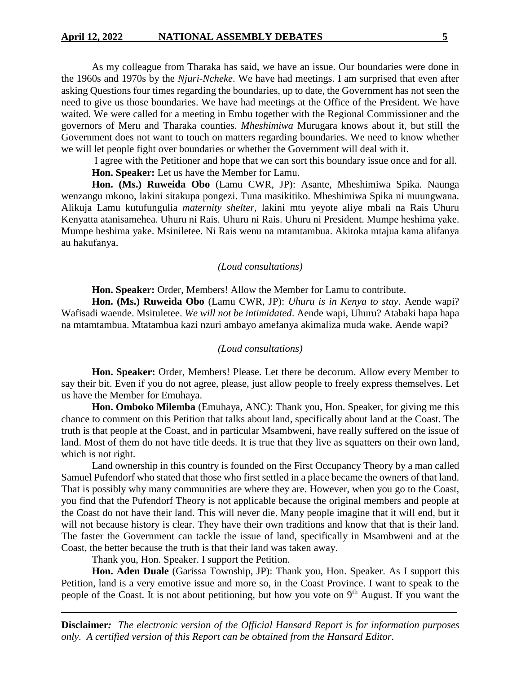As my colleague from Tharaka has said, we have an issue. Our boundaries were done in the 1960s and 1970s by the *Njuri-Ncheke*. We have had meetings. I am surprised that even after asking Questions four times regarding the boundaries, up to date, the Government has not seen the need to give us those boundaries. We have had meetings at the Office of the President. We have waited. We were called for a meeting in Embu together with the Regional Commissioner and the governors of Meru and Tharaka counties. *Mheshimiwa* Murugara knows about it, but still the Government does not want to touch on matters regarding boundaries. We need to know whether we will let people fight over boundaries or whether the Government will deal with it.

I agree with the Petitioner and hope that we can sort this boundary issue once and for all. **Hon. Speaker:** Let us have the Member for Lamu.

**Hon. (Ms.) Ruweida Obo** (Lamu CWR, JP): Asante, Mheshimiwa Spika. Naunga wenzangu mkono, lakini sitakupa pongezi. Tuna masikitiko. Mheshimiwa Spika ni muungwana. Alikuja Lamu kutufungulia *maternity shelter,* lakini mtu yeyote aliye mbali na Rais Uhuru Kenyatta atanisamehea. Uhuru ni Rais. Uhuru ni Rais. Uhuru ni President. Mumpe heshima yake. Mumpe heshima yake. Msiniletee. Ni Rais wenu na mtamtambua. Akitoka mtajua kama alifanya au hakufanya.

#### *(Loud consultations)*

**Hon. Speaker:** Order, Members! Allow the Member for Lamu to contribute.

**Hon. (Ms.) Ruweida Obo** (Lamu CWR, JP): *Uhuru is in Kenya to stay*. Aende wapi? Wafisadi waende. Msituletee. *We will not be intimidated*. Aende wapi, Uhuru? Atabaki hapa hapa na mtamtambua. Mtatambua kazi nzuri ambayo amefanya akimaliza muda wake. Aende wapi?

#### *(Loud consultations)*

**Hon. Speaker:** Order, Members! Please. Let there be decorum. Allow every Member to say their bit. Even if you do not agree, please, just allow people to freely express themselves. Let us have the Member for Emuhaya.

**Hon. Omboko Milemba** (Emuhaya, ANC): Thank you, Hon. Speaker, for giving me this chance to comment on this Petition that talks about land, specifically about land at the Coast. The truth is that people at the Coast, and in particular Msambweni, have really suffered on the issue of land. Most of them do not have title deeds. It is true that they live as squatters on their own land, which is not right.

Land ownership in this country is founded on the First Occupancy Theory by a man called Samuel Pufendorf who stated that those who first settled in a place became the owners of that land. That is possibly why many communities are where they are. However, when you go to the Coast, you find that the Pufendorf Theory is not applicable because the original members and people at the Coast do not have their land. This will never die. Many people imagine that it will end, but it will not because history is clear. They have their own traditions and know that that is their land. The faster the Government can tackle the issue of land, specifically in Msambweni and at the Coast, the better because the truth is that their land was taken away.

Thank you, Hon. Speaker. I support the Petition.

**Hon. Aden Duale** (Garissa Township, JP): Thank you, Hon. Speaker. As I support this Petition, land is a very emotive issue and more so, in the Coast Province. I want to speak to the people of the Coast. It is not about petitioning, but how you vote on  $9<sup>th</sup>$  August. If you want the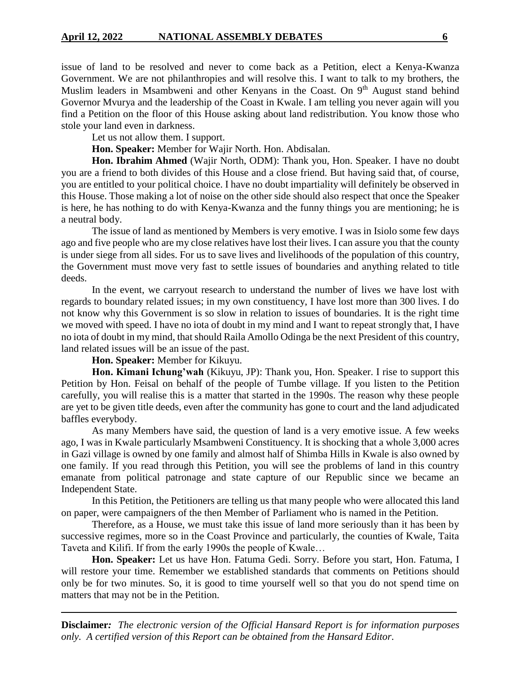issue of land to be resolved and never to come back as a Petition, elect a Kenya-Kwanza Government. We are not philanthropies and will resolve this. I want to talk to my brothers, the Muslim leaders in Msambweni and other Kenyans in the Coast. On 9<sup>th</sup> August stand behind Governor Mvurya and the leadership of the Coast in Kwale. I am telling you never again will you find a Petition on the floor of this House asking about land redistribution. You know those who stole your land even in darkness.

Let us not allow them. I support.

**Hon. Speaker:** Member for Wajir North. Hon. Abdisalan.

**Hon. Ibrahim Ahmed** (Wajir North, ODM): Thank you, Hon. Speaker. I have no doubt you are a friend to both divides of this House and a close friend. But having said that, of course, you are entitled to your political choice. I have no doubt impartiality will definitely be observed in this House. Those making a lot of noise on the other side should also respect that once the Speaker is here, he has nothing to do with Kenya-Kwanza and the funny things you are mentioning; he is a neutral body.

The issue of land as mentioned by Members is very emotive. I was in Isiolo some few days ago and five people who are my close relatives have lost their lives. I can assure you that the county is under siege from all sides. For us to save lives and livelihoods of the population of this country, the Government must move very fast to settle issues of boundaries and anything related to title deeds.

In the event, we carryout research to understand the number of lives we have lost with regards to boundary related issues; in my own constituency, I have lost more than 300 lives. I do not know why this Government is so slow in relation to issues of boundaries. It is the right time we moved with speed. I have no iota of doubt in my mind and I want to repeat strongly that, I have no iota of doubt in my mind, that should Raila Amollo Odinga be the next President of this country, land related issues will be an issue of the past.

**Hon. Speaker:** Member for Kikuyu.

**Hon. Kimani Ichung'wah** (Kikuyu, JP): Thank you, Hon. Speaker. I rise to support this Petition by Hon. Feisal on behalf of the people of Tumbe village. If you listen to the Petition carefully, you will realise this is a matter that started in the 1990s. The reason why these people are yet to be given title deeds, even after the community has gone to court and the land adjudicated baffles everybody.

As many Members have said, the question of land is a very emotive issue. A few weeks ago, I was in Kwale particularly Msambweni Constituency. It is shocking that a whole 3,000 acres in Gazi village is owned by one family and almost half of Shimba Hills in Kwale is also owned by one family. If you read through this Petition, you will see the problems of land in this country emanate from political patronage and state capture of our Republic since we became an Independent State.

In this Petition, the Petitioners are telling us that many people who were allocated this land on paper, were campaigners of the then Member of Parliament who is named in the Petition.

Therefore, as a House, we must take this issue of land more seriously than it has been by successive regimes, more so in the Coast Province and particularly, the counties of Kwale, Taita Taveta and Kilifi. If from the early 1990s the people of Kwale…

**Hon. Speaker:** Let us have Hon. Fatuma Gedi. Sorry. Before you start, Hon. Fatuma, I will restore your time. Remember we established standards that comments on Petitions should only be for two minutes. So, it is good to time yourself well so that you do not spend time on matters that may not be in the Petition.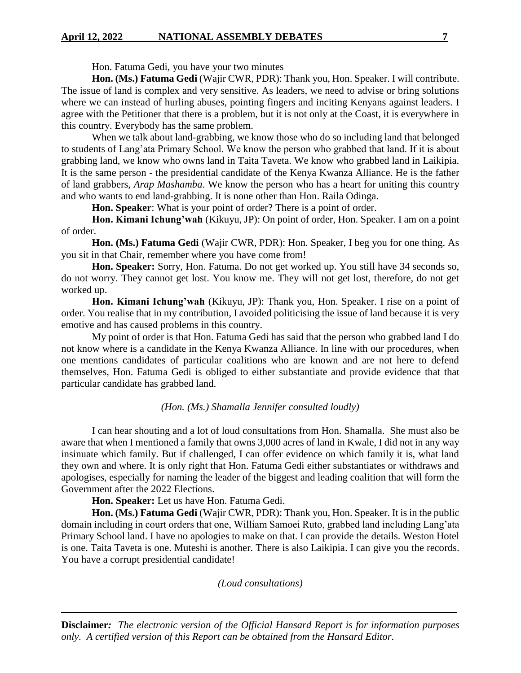# **April 12, 2022 NATIONAL ASSEMBLY DEBATES 7**

Hon. Fatuma Gedi, you have your two minutes

**Hon. (Ms.) Fatuma Gedi** (Wajir CWR, PDR): Thank you, Hon. Speaker. I will contribute. The issue of land is complex and very sensitive. As leaders, we need to advise or bring solutions where we can instead of hurling abuses, pointing fingers and inciting Kenyans against leaders. I agree with the Petitioner that there is a problem, but it is not only at the Coast, it is everywhere in this country. Everybody has the same problem.

When we talk about land-grabbing, we know those who do so including land that belonged to students of Lang'ata Primary School. We know the person who grabbed that land. If it is about grabbing land, we know who owns land in Taita Taveta. We know who grabbed land in Laikipia. It is the same person - the presidential candidate of the Kenya Kwanza Alliance. He is the father of land grabbers, *Arap Mashamba*. We know the person who has a heart for uniting this country and who wants to end land-grabbing. It is none other than Hon. Raila Odinga.

**Hon. Speaker**: What is your point of order? There is a point of order.

**Hon. Kimani Ichung'wah** (Kikuyu, JP): On point of order, Hon. Speaker. I am on a point of order.

**Hon. (Ms.) Fatuma Gedi** (Wajir CWR, PDR): Hon. Speaker, I beg you for one thing. As you sit in that Chair, remember where you have come from!

**Hon. Speaker:** Sorry, Hon. Fatuma. Do not get worked up. You still have 34 seconds so, do not worry. They cannot get lost. You know me. They will not get lost, therefore, do not get worked up.

**Hon. Kimani Ichung'wah** (Kikuyu, JP): Thank you, Hon. Speaker. I rise on a point of order. You realise that in my contribution, I avoided politicising the issue of land because it is very emotive and has caused problems in this country.

My point of order is that Hon. Fatuma Gedi has said that the person who grabbed land I do not know where is a candidate in the Kenya Kwanza Alliance. In line with our procedures, when one mentions candidates of particular coalitions who are known and are not here to defend themselves, Hon. Fatuma Gedi is obliged to either substantiate and provide evidence that that particular candidate has grabbed land.

#### *(Hon. (Ms.) Shamalla Jennifer consulted loudly)*

I can hear shouting and a lot of loud consultations from Hon. Shamalla. She must also be aware that when I mentioned a family that owns 3,000 acres of land in Kwale, I did not in any way insinuate which family. But if challenged, I can offer evidence on which family it is, what land they own and where. It is only right that Hon. Fatuma Gedi either substantiates or withdraws and apologises, especially for naming the leader of the biggest and leading coalition that will form the Government after the 2022 Elections.

**Hon. Speaker:** Let us have Hon. Fatuma Gedi.

**Hon. (Ms.) Fatuma Gedi** (Wajir CWR, PDR): Thank you, Hon. Speaker. It is in the public domain including in court orders that one, William Samoei Ruto, grabbed land including Lang'ata Primary School land. I have no apologies to make on that. I can provide the details. Weston Hotel is one. Taita Taveta is one. Muteshi is another. There is also Laikipia. I can give you the records. You have a corrupt presidential candidate!

*(Loud consultations)*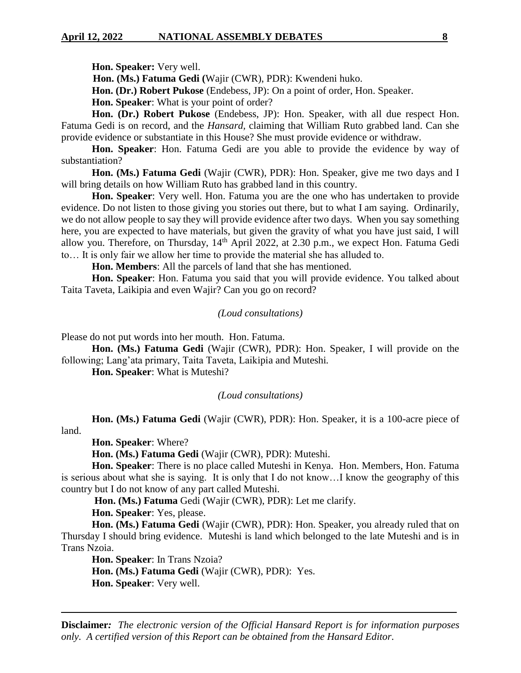**Hon. Speaker:** Very well.

 **Hon. (Ms.) Fatuma Gedi (**Wajir (CWR), PDR): Kwendeni huko.

**Hon. (Dr.) Robert Pukose** (Endebess, JP): On a point of order, Hon. Speaker.

**Hon. Speaker**: What is your point of order?

**Hon. (Dr.) Robert Pukose** (Endebess, JP): Hon. Speaker, with all due respect Hon. Fatuma Gedi is on record, and the *Hansard,* claiming that William Ruto grabbed land. Can she provide evidence or substantiate in this House? She must provide evidence or withdraw.

**Hon. Speaker**: Hon. Fatuma Gedi are you able to provide the evidence by way of substantiation?

**Hon. (Ms.) Fatuma Gedi** (Wajir (CWR), PDR): Hon. Speaker, give me two days and I will bring details on how William Ruto has grabbed land in this country.

**Hon. Speaker**: Very well. Hon. Fatuma you are the one who has undertaken to provide evidence. Do not listen to those giving you stories out there, but to what I am saying. Ordinarily, we do not allow people to say they will provide evidence after two days. When you say something here, you are expected to have materials, but given the gravity of what you have just said, I will allow you. Therefore, on Thursday,  $14<sup>th</sup>$  April 2022, at 2.30 p.m., we expect Hon. Fatuma Gedi to… It is only fair we allow her time to provide the material she has alluded to.

**Hon. Members**: All the parcels of land that she has mentioned.

**Hon. Speaker**: Hon. Fatuma you said that you will provide evidence. You talked about Taita Taveta, Laikipia and even Wajir? Can you go on record?

# *(Loud consultations)*

Please do not put words into her mouth. Hon. Fatuma.

**Hon. (Ms.) Fatuma Gedi** (Wajir (CWR), PDR): Hon. Speaker, I will provide on the following; Lang'ata primary, Taita Taveta, Laikipia and Muteshi*.*

**Hon. Speaker**: What is Muteshi?

#### *(Loud consultations)*

**Hon. (Ms.) Fatuma Gedi** (Wajir (CWR), PDR): Hon. Speaker, it is a 100-acre piece of land.

**Hon. Speaker**: Where?

**Hon. (Ms.) Fatuma Gedi** (Wajir (CWR), PDR): Muteshi.

**Hon. Speaker**: There is no place called Muteshi in Kenya. Hon. Members, Hon. Fatuma is serious about what she is saying. It is only that I do not know…I know the geography of this country but I do not know of any part called Muteshi.

**Hon. (Ms.) Fatuma** Gedi (Wajir (CWR), PDR): Let me clarify.

**Hon. Speaker**: Yes, please.

**Hon. (Ms.) Fatuma Gedi** (Wajir (CWR), PDR): Hon. Speaker, you already ruled that on Thursday I should bring evidence. Muteshi is land which belonged to the late Muteshi and is in Trans Nzoia.

**Hon. Speaker**: In Trans Nzoia?

**Hon. (Ms.) Fatuma Gedi** (Wajir (CWR), PDR): Yes.

**Hon. Speaker**: Very well.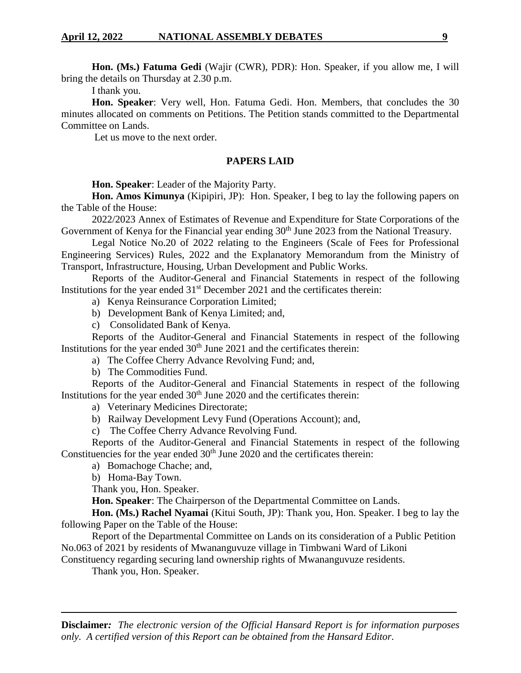**Hon. (Ms.) Fatuma Gedi** (Wajir (CWR), PDR): Hon. Speaker, if you allow me, I will bring the details on Thursday at 2.30 p.m.

I thank you.

**Hon. Speaker**: Very well, Hon. Fatuma Gedi. Hon. Members, that concludes the 30 minutes allocated on comments on Petitions. The Petition stands committed to the Departmental Committee on Lands.

Let us move to the next order.

# **PAPERS LAID**

**Hon. Speaker**: Leader of the Majority Party.

**Hon. Amos Kimunya** (Kipipiri, JP): Hon. Speaker, I beg to lay the following papers on the Table of the House:

2022/2023 Annex of Estimates of Revenue and Expenditure for State Corporations of the Government of Kenya for the Financial year ending 30<sup>th</sup> June 2023 from the National Treasury.

Legal Notice No.20 of 2022 relating to the Engineers (Scale of Fees for Professional Engineering Services) Rules, 2022 and the Explanatory Memorandum from the Ministry of Transport, Infrastructure, Housing, Urban Development and Public Works.

Reports of the Auditor-General and Financial Statements in respect of the following Institutions for the year ended  $31<sup>st</sup>$  December 2021 and the certificates therein:

- a) Kenya Reinsurance Corporation Limited;
- b) Development Bank of Kenya Limited; and,
- c) Consolidated Bank of Kenya.

Reports of the Auditor-General and Financial Statements in respect of the following Institutions for the year ended  $30<sup>th</sup>$  June 2021 and the certificates therein:

a) The Coffee Cherry Advance Revolving Fund; and,

b) The Commodities Fund.

Reports of the Auditor-General and Financial Statements in respect of the following Institutions for the year ended  $30<sup>th</sup>$  June 2020 and the certificates therein:

a) Veterinary Medicines Directorate;

b) Railway Development Levy Fund (Operations Account); and,

c) The Coffee Cherry Advance Revolving Fund.

Reports of the Auditor-General and Financial Statements in respect of the following Constituencies for the year ended  $30<sup>th</sup>$  June 2020 and the certificates therein:

a) Bomachoge Chache; and,

b) Homa-Bay Town.

Thank you, Hon. Speaker.

**Hon. Speaker**: The Chairperson of the Departmental Committee on Lands.

**Hon. (Ms.) Rachel Nyamai** (Kitui South, JP): Thank you, Hon. Speaker. I beg to lay the following Paper on the Table of the House:

Report of the Departmental Committee on Lands on its consideration of a Public Petition No.063 of 2021 by residents of Mwananguvuze village in Timbwani Ward of Likoni

Constituency regarding securing land ownership rights of Mwananguvuze residents.

Thank you, Hon. Speaker.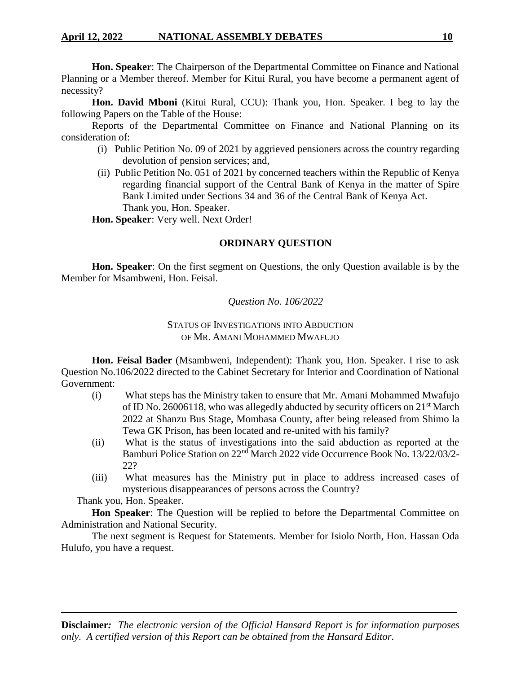**Hon. Speaker**: The Chairperson of the Departmental Committee on Finance and National Planning or a Member thereof. Member for Kitui Rural, you have become a permanent agent of necessity?

**Hon. David Mboni** (Kitui Rural, CCU): Thank you, Hon. Speaker. I beg to lay the following Papers on the Table of the House:

Reports of the Departmental Committee on Finance and National Planning on its consideration of:

- (i) Public Petition No. 09 of 2021 by aggrieved pensioners across the country regarding devolution of pension services; and,
- (ii) Public Petition No. 051 of 2021 by concerned teachers within the Republic of Kenya regarding financial support of the Central Bank of Kenya in the matter of Spire Bank Limited under Sections 34 and 36 of the Central Bank of Kenya Act. Thank you, Hon. Speaker.

**Hon. Speaker**: Very well. Next Order!

# **ORDINARY QUESTION**

**Hon. Speaker**: On the first segment on Questions, the only Question available is by the Member for Msambweni, Hon. Feisal.

# *Question No. 106/2022*

# STATUS OF INVESTIGATIONS INTO ABDUCTION OF MR. AMANI MOHAMMED MWAFUJO

**Hon. Feisal Bader** (Msambweni, Independent): Thank you, Hon. Speaker. I rise to ask Question No.106/2022 directed to the Cabinet Secretary for Interior and Coordination of National Government:

- (i) What steps has the Ministry taken to ensure that Mr. Amani Mohammed Mwafujo of ID No. 26006118, who was allegedly abducted by security officers on 21st March 2022 at Shanzu Bus Stage, Mombasa County, after being released from Shimo la Tewa GK Prison, has been located and re-united with his family?
- (ii) What is the status of investigations into the said abduction as reported at the Bamburi Police Station on 22nd March 2022 vide Occurrence Book No. 13/22/03/2- 22?
- (iii) What measures has the Ministry put in place to address increased cases of mysterious disappearances of persons across the Country?

Thank you, Hon. Speaker.

**Hon Speaker**: The Question will be replied to before the Departmental Committee on Administration and National Security.

The next segment is Request for Statements. Member for Isiolo North, Hon. Hassan Oda Hulufo, you have a request.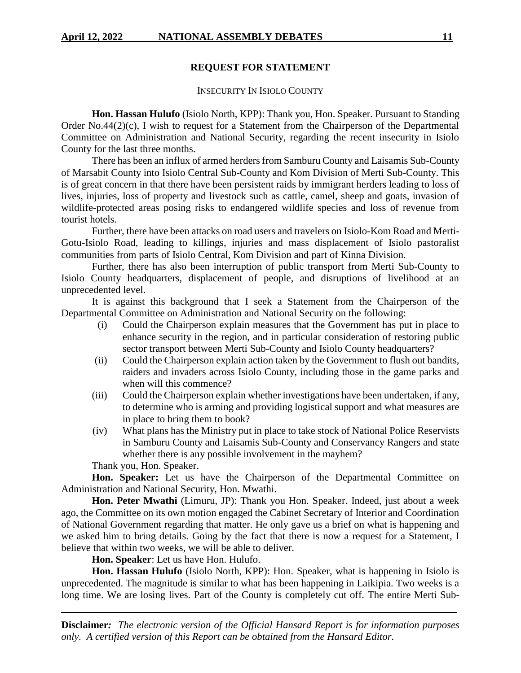# **REQUEST FOR STATEMENT**

# INSECURITY IN ISIOLO COUNTY

**Hon. Hassan Hulufo** (Isiolo North, KPP): Thank you, Hon. Speaker. Pursuant to Standing Order No.44(2)(c), I wish to request for a Statement from the Chairperson of the Departmental Committee on Administration and National Security, regarding the recent insecurity in Isiolo County for the last three months.

There has been an influx of armed herders from Samburu County and Laisamis Sub-County of Marsabit County into Isiolo Central Sub-County and Kom Division of Merti Sub-County. This is of great concern in that there have been persistent raids by immigrant herders leading to loss of lives, injuries, loss of property and livestock such as cattle, camel, sheep and goats, invasion of wildlife-protected areas posing risks to endangered wildlife species and loss of revenue from tourist hotels.

Further, there have been attacks on road users and travelers on Isiolo-Kom Road and Merti-Gotu-Isiolo Road, leading to killings, injuries and mass displacement of Isiolo pastoralist communities from parts of Isiolo Central, Kom Division and part of Kinna Division.

Further, there has also been interruption of public transport from Merti Sub-County to Isiolo County headquarters, displacement of people, and disruptions of livelihood at an unprecedented level.

It is against this background that I seek a Statement from the Chairperson of the Departmental Committee on Administration and National Security on the following:

- (i) Could the Chairperson explain measures that the Government has put in place to enhance security in the region, and in particular consideration of restoring public sector transport between Merti Sub-County and Isiolo County headquarters?
- (ii) Could the Chairperson explain action taken by the Government to flush out bandits, raiders and invaders across Isiolo County, including those in the game parks and when will this commence?
- (iii) Could the Chairperson explain whether investigations have been undertaken, if any, to determine who is arming and providing logistical support and what measures are in place to bring them to book?
- (iv) What plans has the Ministry put in place to take stock of National Police Reservists in Samburu County and Laisamis Sub-County and Conservancy Rangers and state whether there is any possible involvement in the mayhem?

Thank you, Hon. Speaker.

**Hon. Speaker:** Let us have the Chairperson of the Departmental Committee on Administration and National Security, Hon. Mwathi.

**Hon. Peter Mwathi** (Limuru, JP): Thank you Hon. Speaker. Indeed, just about a week ago, the Committee on its own motion engaged the Cabinet Secretary of Interior and Coordination of National Government regarding that matter. He only gave us a brief on what is happening and we asked him to bring details. Going by the fact that there is now a request for a Statement, I believe that within two weeks, we will be able to deliver.

**Hon. Speaker**: Let us have Hon. Hulufo.

**Hon. Hassan Hulufo** (Isiolo North, KPP): Hon. Speaker, what is happening in Isiolo is unprecedented. The magnitude is similar to what has been happening in Laikipia. Two weeks is a long time. We are losing lives. Part of the County is completely cut off. The entire Merti Sub-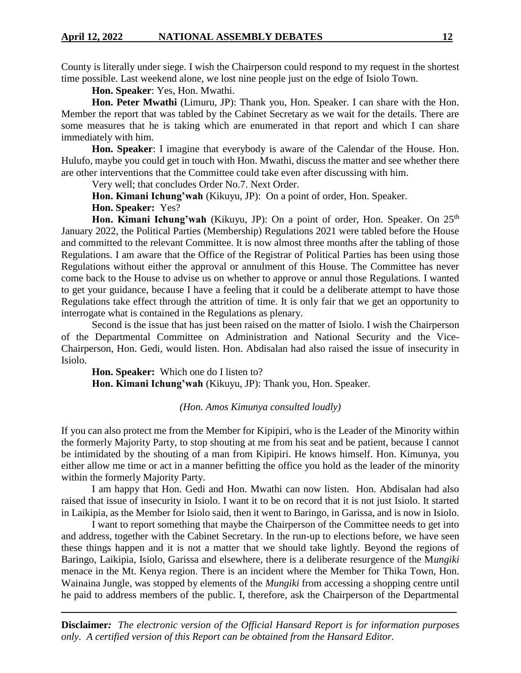County is literally under siege. I wish the Chairperson could respond to my request in the shortest time possible. Last weekend alone, we lost nine people just on the edge of Isiolo Town.

**Hon. Speaker**: Yes, Hon. Mwathi.

**Hon. Peter Mwathi** (Limuru, JP): Thank you, Hon. Speaker. I can share with the Hon. Member the report that was tabled by the Cabinet Secretary as we wait for the details. There are some measures that he is taking which are enumerated in that report and which I can share immediately with him.

**Hon. Speaker**: I imagine that everybody is aware of the Calendar of the House. Hon. Hulufo, maybe you could get in touch with Hon. Mwathi, discuss the matter and see whether there are other interventions that the Committee could take even after discussing with him.

Very well; that concludes Order No.7. Next Order.

**Hon. Kimani Ichung'wah** (Kikuyu, JP): On a point of order, Hon. Speaker.

**Hon. Speaker:** Yes?

**Hon. Kimani Ichung'wah** (Kikuyu, JP): On a point of order, Hon. Speaker. On 25<sup>th</sup> January 2022, the Political Parties (Membership) Regulations 2021 were tabled before the House and committed to the relevant Committee. It is now almost three months after the tabling of those Regulations. I am aware that the Office of the Registrar of Political Parties has been using those Regulations without either the approval or annulment of this House. The Committee has never come back to the House to advise us on whether to approve or annul those Regulations. I wanted to get your guidance, because I have a feeling that it could be a deliberate attempt to have those Regulations take effect through the attrition of time. It is only fair that we get an opportunity to interrogate what is contained in the Regulations as plenary.

Second is the issue that has just been raised on the matter of Isiolo. I wish the Chairperson of the Departmental Committee on Administration and National Security and the Vice-Chairperson, Hon. Gedi, would listen. Hon. Abdisalan had also raised the issue of insecurity in Isiolo.

**Hon. Speaker:** Which one do I listen to? **Hon. Kimani Ichung'wah** (Kikuyu, JP): Thank you, Hon. Speaker.

# *(Hon. Amos Kimunya consulted loudly)*

If you can also protect me from the Member for Kipipiri, who is the Leader of the Minority within the formerly Majority Party, to stop shouting at me from his seat and be patient, because I cannot be intimidated by the shouting of a man from Kipipiri. He knows himself. Hon. Kimunya, you either allow me time or act in a manner befitting the office you hold as the leader of the minority within the formerly Majority Party.

I am happy that Hon. Gedi and Hon. Mwathi can now listen. Hon. Abdisalan had also raised that issue of insecurity in Isiolo. I want it to be on record that it is not just Isiolo. It started in Laikipia, as the Member for Isiolo said, then it went to Baringo, in Garissa, and is now in Isiolo.

I want to report something that maybe the Chairperson of the Committee needs to get into and address, together with the Cabinet Secretary. In the run-up to elections before, we have seen these things happen and it is not a matter that we should take lightly. Beyond the regions of Baringo, Laikipia, Isiolo, Garissa and elsewhere, there is a deliberate resurgence of the M*ungiki*  menace in the Mt. Kenya region. There is an incident where the Member for Thika Town, Hon. Wainaina Jungle, was stopped by elements of the *Mungiki* from accessing a shopping centre until he paid to address members of the public. I, therefore, ask the Chairperson of the Departmental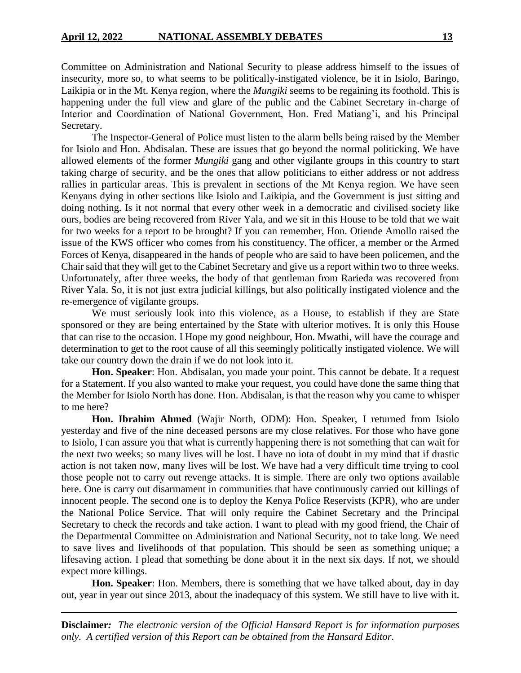Committee on Administration and National Security to please address himself to the issues of insecurity, more so, to what seems to be politically-instigated violence, be it in Isiolo, Baringo, Laikipia or in the Mt. Kenya region, where the *Mungiki* seems to be regaining its foothold. This is happening under the full view and glare of the public and the Cabinet Secretary in-charge of Interior and Coordination of National Government, Hon. Fred Matiang'i, and his Principal Secretary.

The Inspector-General of Police must listen to the alarm bells being raised by the Member for Isiolo and Hon. Abdisalan. These are issues that go beyond the normal politicking. We have allowed elements of the former *Mungiki* gang and other vigilante groups in this country to start taking charge of security, and be the ones that allow politicians to either address or not address rallies in particular areas. This is prevalent in sections of the Mt Kenya region. We have seen Kenyans dying in other sections like Isiolo and Laikipia, and the Government is just sitting and doing nothing. Is it not normal that every other week in a democratic and civilised society like ours, bodies are being recovered from River Yala, and we sit in this House to be told that we wait for two weeks for a report to be brought? If you can remember, Hon. Otiende Amollo raised the issue of the KWS officer who comes from his constituency. The officer, a member or the Armed Forces of Kenya, disappeared in the hands of people who are said to have been policemen, and the Chair said that they will get to the Cabinet Secretary and give us a report within two to three weeks. Unfortunately, after three weeks, the body of that gentleman from Rarieda was recovered from River Yala. So, it is not just extra judicial killings, but also politically instigated violence and the re-emergence of vigilante groups.

We must seriously look into this violence, as a House, to establish if they are State sponsored or they are being entertained by the State with ulterior motives. It is only this House that can rise to the occasion. I Hope my good neighbour, Hon. Mwathi, will have the courage and determination to get to the root cause of all this seemingly politically instigated violence. We will take our country down the drain if we do not look into it.

**Hon. Speaker**: Hon. Abdisalan, you made your point. This cannot be debate. It a request for a Statement. If you also wanted to make your request, you could have done the same thing that the Member for Isiolo North has done. Hon. Abdisalan, is that the reason why you came to whisper to me here?

**Hon. Ibrahim Ahmed** (Wajir North, ODM): Hon. Speaker, I returned from Isiolo yesterday and five of the nine deceased persons are my close relatives. For those who have gone to Isiolo, I can assure you that what is currently happening there is not something that can wait for the next two weeks; so many lives will be lost. I have no iota of doubt in my mind that if drastic action is not taken now, many lives will be lost. We have had a very difficult time trying to cool those people not to carry out revenge attacks. It is simple. There are only two options available here. One is carry out disarmament in communities that have continuously carried out killings of innocent people. The second one is to deploy the Kenya Police Reservists (KPR), who are under the National Police Service. That will only require the Cabinet Secretary and the Principal Secretary to check the records and take action. I want to plead with my good friend, the Chair of the Departmental Committee on Administration and National Security, not to take long. We need to save lives and livelihoods of that population. This should be seen as something unique; a lifesaving action. I plead that something be done about it in the next six days. If not, we should expect more killings.

**Hon. Speaker**: Hon. Members, there is something that we have talked about, day in day out, year in year out since 2013, about the inadequacy of this system. We still have to live with it.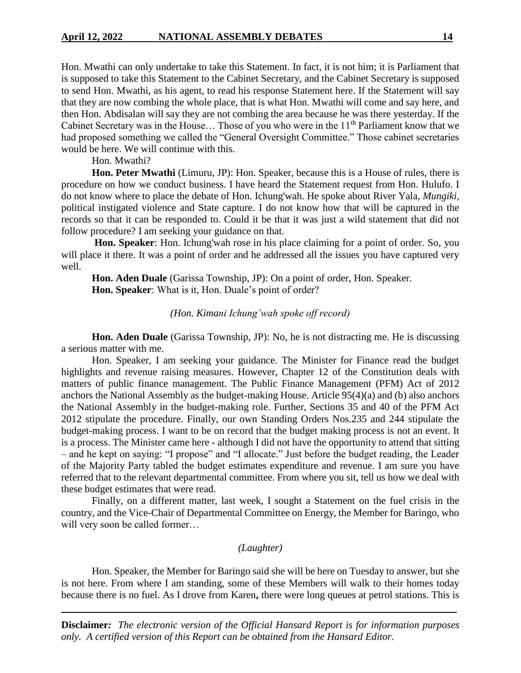Hon. Mwathi can only undertake to take this Statement. In fact, it is not him; it is Parliament that is supposed to take this Statement to the Cabinet Secretary, and the Cabinet Secretary is supposed to send Hon. Mwathi, as his agent, to read his response Statement here. If the Statement will say that they are now combing the whole place, that is what Hon. Mwathi will come and say here, and then Hon. Abdisalan will say they are not combing the area because he was there yesterday. If the Cabinet Secretary was in the House... Those of you who were in the  $11<sup>th</sup>$  Parliament know that we had proposed something we called the "General Oversight Committee." Those cabinet secretaries would be here. We will continue with this.

Hon. Mwathi?

**Hon. Peter Mwathi** (Limuru, JP): Hon. Speaker, because this is a House of rules, there is procedure on how we conduct business. I have heard the Statement request from Hon. Hulufo. I do not know where to place the debate of Hon. Ichung'wah. He spoke about River Yala, *Mungiki,* political instigated violence and State capture. I do not know how that will be captured in the records so that it can be responded to. Could it be that it was just a wild statement that did not follow procedure? I am seeking your guidance on that.

**Hon. Speaker**: Hon. Ichung'wah rose in his place claiming for a point of order. So, you will place it there. It was a point of order and he addressed all the issues you have captured very well.

**Hon. Aden Duale** (Garissa Township, JP): On a point of order, Hon. Speaker. **Hon. Speaker**: What is it, Hon. Duale's point of order?

# *(Hon. Kimani Ichung'wah spoke off record)*

**Hon. Aden Duale** (Garissa Township, JP): No, he is not distracting me. He is discussing a serious matter with me.

Hon. Speaker, I am seeking your guidance. The Minister for Finance read the budget highlights and revenue raising measures. However, Chapter 12 of the Constitution deals with matters of public finance management. The Public Finance Management (PFM) Act of 2012 anchors the National Assembly as the budget-making House. Article 95(4)(a) and (b) also anchors the National Assembly in the budget-making role. Further, Sections 35 and 40 of the PFM Act 2012 stipulate the procedure. Finally, our own Standing Orders Nos.235 and 244 stipulate the budget-making process. I want to be on record that the budget making process is not an event. It is a process. The Minister came here - although I did not have the opportunity to attend that sitting – and he kept on saying: "I propose" and "I allocate." Just before the budget reading, the Leader of the Majority Party tabled the budget estimates expenditure and revenue. I am sure you have referred that to the relevant departmental committee. From where you sit, tell us how we deal with these budget estimates that were read.

Finally, on a different matter, last week, I sought a Statement on the fuel crisis in the country, and the Vice-Chair of Departmental Committee on Energy, the Member for Baringo, who will very soon be called former…

# *(Laughter)*

Hon. Speaker, the Member for Baringo said she will be here on Tuesday to answer, but she is not here. From where I am standing, some of these Members will walk to their homes today because there is no fuel. As I drove from Karen**,** there were long queues at petrol stations. This is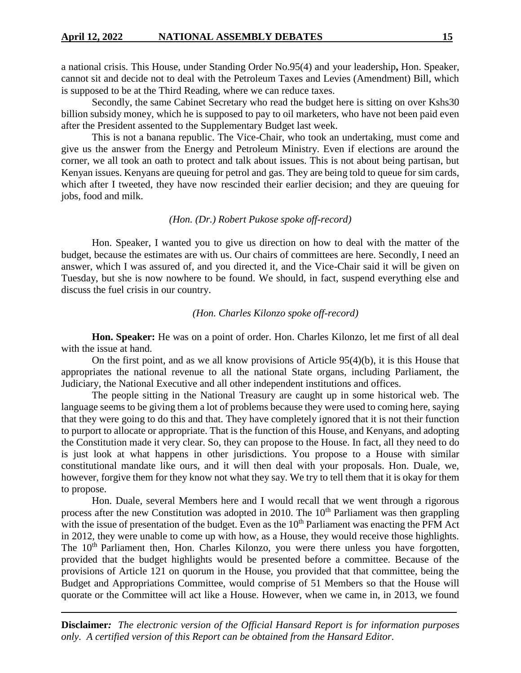a national crisis. This House, under Standing Order No.95(4) and your leadership**,** Hon. Speaker, cannot sit and decide not to deal with the Petroleum Taxes and Levies (Amendment) Bill, which is supposed to be at the Third Reading, where we can reduce taxes.

Secondly, the same Cabinet Secretary who read the budget here is sitting on over Kshs30 billion subsidy money, which he is supposed to pay to oil marketers, who have not been paid even after the President assented to the Supplementary Budget last week.

This is not a banana republic. The Vice-Chair, who took an undertaking, must come and give us the answer from the Energy and Petroleum Ministry. Even if elections are around the corner, we all took an oath to protect and talk about issues. This is not about being partisan, but Kenyan issues. Kenyans are queuing for petrol and gas. They are being told to queue for sim cards, which after I tweeted, they have now rescinded their earlier decision; and they are queuing for jobs, food and milk.

#### *(Hon. (Dr.) Robert Pukose spoke off-record)*

Hon. Speaker, I wanted you to give us direction on how to deal with the matter of the budget, because the estimates are with us. Our chairs of committees are here. Secondly, I need an answer, which I was assured of, and you directed it, and the Vice-Chair said it will be given on Tuesday, but she is now nowhere to be found. We should, in fact, suspend everything else and discuss the fuel crisis in our country.

# *(Hon. Charles Kilonzo spoke off-record)*

**Hon. Speaker:** He was on a point of order. Hon. Charles Kilonzo, let me first of all deal with the issue at hand.

On the first point, and as we all know provisions of Article 95(4)(b), it is this House that appropriates the national revenue to all the national State organs, including Parliament, the Judiciary, the National Executive and all other independent institutions and offices.

The people sitting in the National Treasury are caught up in some historical web. The language seems to be giving them a lot of problems because they were used to coming here, saying that they were going to do this and that. They have completely ignored that it is not their function to purport to allocate or appropriate. That is the function of this House, and Kenyans, and adopting the Constitution made it very clear. So, they can propose to the House. In fact, all they need to do is just look at what happens in other jurisdictions. You propose to a House with similar constitutional mandate like ours, and it will then deal with your proposals. Hon. Duale, we, however, forgive them for they know not what they say. We try to tell them that it is okay for them to propose.

Hon. Duale, several Members here and I would recall that we went through a rigorous process after the new Constitution was adopted in 2010. The 10<sup>th</sup> Parliament was then grappling with the issue of presentation of the budget. Even as the  $10<sup>th</sup>$  Parliament was enacting the PFM Act in 2012, they were unable to come up with how, as a House, they would receive those highlights. The 10<sup>th</sup> Parliament then, Hon. Charles Kilonzo, you were there unless you have forgotten, provided that the budget highlights would be presented before a committee. Because of the provisions of Article 121 on quorum in the House, you provided that that committee, being the Budget and Appropriations Committee, would comprise of 51 Members so that the House will quorate or the Committee will act like a House. However, when we came in, in 2013, we found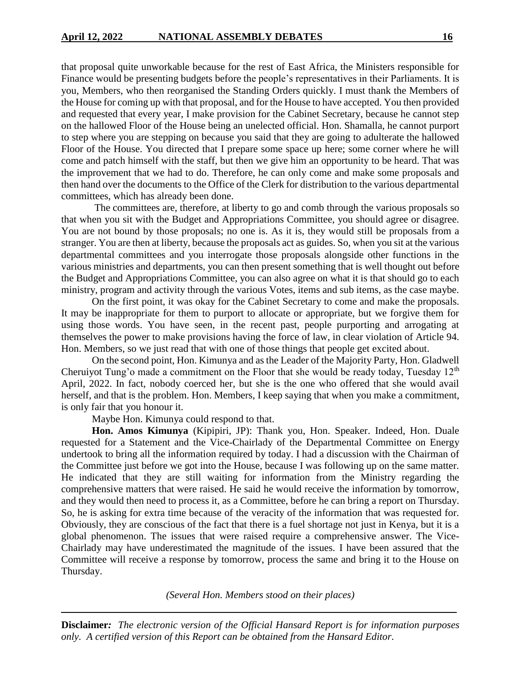that proposal quite unworkable because for the rest of East Africa, the Ministers responsible for Finance would be presenting budgets before the people's representatives in their Parliaments. It is you, Members, who then reorganised the Standing Orders quickly. I must thank the Members of the House for coming up with that proposal, and for the House to have accepted. You then provided and requested that every year, I make provision for the Cabinet Secretary, because he cannot step on the hallowed Floor of the House being an unelected official. Hon. Shamalla, he cannot purport to step where you are stepping on because you said that they are going to adulterate the hallowed Floor of the House. You directed that I prepare some space up here; some corner where he will come and patch himself with the staff, but then we give him an opportunity to be heard. That was the improvement that we had to do. Therefore, he can only come and make some proposals and then hand over the documents to the Office of the Clerk for distribution to the various departmental committees, which has already been done.

The committees are, therefore, at liberty to go and comb through the various proposals so that when you sit with the Budget and Appropriations Committee, you should agree or disagree. You are not bound by those proposals; no one is. As it is, they would still be proposals from a stranger. You are then at liberty, because the proposals act as guides. So, when you sit at the various departmental committees and you interrogate those proposals alongside other functions in the various ministries and departments, you can then present something that is well thought out before the Budget and Appropriations Committee, you can also agree on what it is that should go to each ministry, program and activity through the various Votes, items and sub items, as the case maybe.

On the first point, it was okay for the Cabinet Secretary to come and make the proposals. It may be inappropriate for them to purport to allocate or appropriate, but we forgive them for using those words. You have seen, in the recent past, people purporting and arrogating at themselves the power to make provisions having the force of law, in clear violation of Article 94. Hon. Members, so we just read that with one of those things that people get excited about.

On the second point, Hon. Kimunya and as the Leader of the Majority Party, Hon. Gladwell Cheruiyot Tung'o made a commitment on the Floor that she would be ready today, Tuesday  $12<sup>th</sup>$ April, 2022. In fact, nobody coerced her, but she is the one who offered that she would avail herself, and that is the problem. Hon. Members, I keep saying that when you make a commitment, is only fair that you honour it.

Maybe Hon. Kimunya could respond to that.

**Hon. Amos Kimunya** (Kipipiri, JP): Thank you, Hon. Speaker. Indeed, Hon. Duale requested for a Statement and the Vice-Chairlady of the Departmental Committee on Energy undertook to bring all the information required by today. I had a discussion with the Chairman of the Committee just before we got into the House, because I was following up on the same matter. He indicated that they are still waiting for information from the Ministry regarding the comprehensive matters that were raised. He said he would receive the information by tomorrow, and they would then need to process it, as a Committee, before he can bring a report on Thursday. So, he is asking for extra time because of the veracity of the information that was requested for. Obviously, they are conscious of the fact that there is a fuel shortage not just in Kenya, but it is a global phenomenon. The issues that were raised require a comprehensive answer. The Vice-Chairlady may have underestimated the magnitude of the issues. I have been assured that the Committee will receive a response by tomorrow, process the same and bring it to the House on Thursday.

*(Several Hon. Members stood on their places)*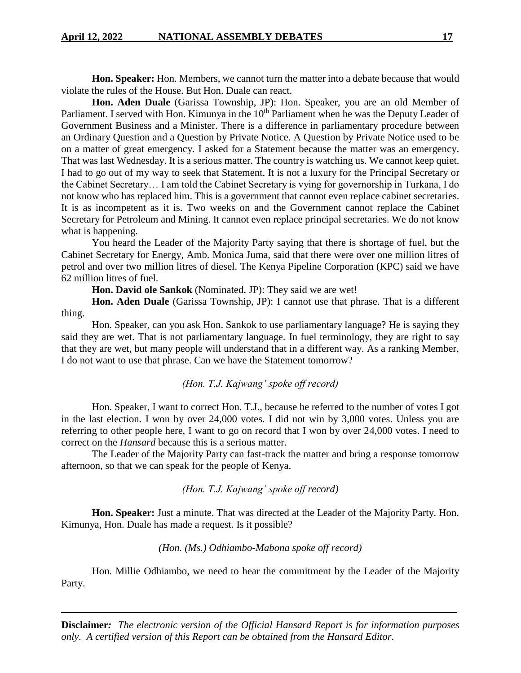**Hon. Speaker:** Hon. Members, we cannot turn the matter into a debate because that would violate the rules of the House. But Hon. Duale can react.

**Hon. Aden Duale** (Garissa Township, JP): Hon. Speaker, you are an old Member of Parliament. I served with Hon. Kimunya in the 10<sup>th</sup> Parliament when he was the Deputy Leader of Government Business and a Minister. There is a difference in parliamentary procedure between an Ordinary Question and a Question by Private Notice. A Question by Private Notice used to be on a matter of great emergency. I asked for a Statement because the matter was an emergency. That was last Wednesday. It is a serious matter. The country is watching us. We cannot keep quiet. I had to go out of my way to seek that Statement. It is not a luxury for the Principal Secretary or the Cabinet Secretary… I am told the Cabinet Secretary is vying for governorship in Turkana, I do not know who has replaced him. This is a government that cannot even replace cabinet secretaries. It is as incompetent as it is. Two weeks on and the Government cannot replace the Cabinet Secretary for Petroleum and Mining. It cannot even replace principal secretaries. We do not know what is happening.

You heard the Leader of the Majority Party saying that there is shortage of fuel, but the Cabinet Secretary for Energy, Amb. Monica Juma, said that there were over one million litres of petrol and over two million litres of diesel. The Kenya Pipeline Corporation (KPC) said we have 62 million litres of fuel.

**Hon. David ole Sankok** (Nominated, JP): They said we are wet!

**Hon. Aden Duale** (Garissa Township, JP): I cannot use that phrase. That is a different thing.

Hon. Speaker, can you ask Hon. Sankok to use parliamentary language? He is saying they said they are wet. That is not parliamentary language. In fuel terminology, they are right to say that they are wet, but many people will understand that in a different way. As a ranking Member, I do not want to use that phrase. Can we have the Statement tomorrow?

## *(Hon. T.J. Kajwang' spoke off record)*

Hon. Speaker, I want to correct Hon. T.J., because he referred to the number of votes I got in the last election. I won by over 24,000 votes. I did not win by 3,000 votes. Unless you are referring to other people here, I want to go on record that I won by over 24,000 votes. I need to correct on the *Hansard* because this is a serious matter.

The Leader of the Majority Party can fast-track the matter and bring a response tomorrow afternoon, so that we can speak for the people of Kenya.

#### *(Hon. T.J. Kajwang' spoke off record)*

**Hon. Speaker:** Just a minute. That was directed at the Leader of the Majority Party. Hon. Kimunya, Hon. Duale has made a request. Is it possible?

# *(Hon. (Ms.) Odhiambo-Mabona spoke off record)*

Hon. Millie Odhiambo, we need to hear the commitment by the Leader of the Majority Party.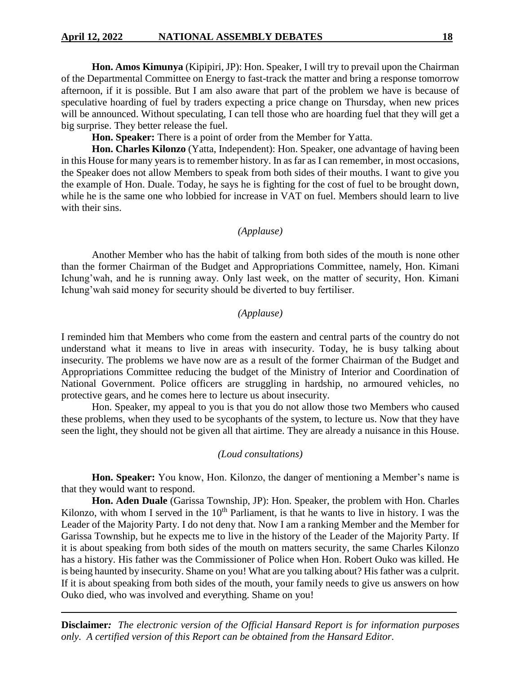**Hon. Amos Kimunya** (Kipipiri, JP): Hon. Speaker, I will try to prevail upon the Chairman of the Departmental Committee on Energy to fast-track the matter and bring a response tomorrow afternoon, if it is possible. But I am also aware that part of the problem we have is because of speculative hoarding of fuel by traders expecting a price change on Thursday, when new prices will be announced. Without speculating, I can tell those who are hoarding fuel that they will get a big surprise. They better release the fuel.

**Hon. Speaker:** There is a point of order from the Member for Yatta.

**Hon. Charles Kilonzo** (Yatta, Independent): Hon. Speaker, one advantage of having been in this House for many years is to remember history. In as far as I can remember, in most occasions, the Speaker does not allow Members to speak from both sides of their mouths. I want to give you the example of Hon. Duale. Today, he says he is fighting for the cost of fuel to be brought down, while he is the same one who lobbied for increase in VAT on fuel. Members should learn to live with their sins.

#### *(Applause)*

Another Member who has the habit of talking from both sides of the mouth is none other than the former Chairman of the Budget and Appropriations Committee, namely, Hon. Kimani Ichung'wah, and he is running away. Only last week, on the matter of security, Hon. Kimani Ichung'wah said money for security should be diverted to buy fertiliser.

# *(Applause)*

I reminded him that Members who come from the eastern and central parts of the country do not understand what it means to live in areas with insecurity. Today, he is busy talking about insecurity. The problems we have now are as a result of the former Chairman of the Budget and Appropriations Committee reducing the budget of the Ministry of Interior and Coordination of National Government. Police officers are struggling in hardship, no armoured vehicles, no protective gears, and he comes here to lecture us about insecurity.

Hon. Speaker, my appeal to you is that you do not allow those two Members who caused these problems, when they used to be sycophants of the system, to lecture us. Now that they have seen the light, they should not be given all that airtime. They are already a nuisance in this House.

## *(Loud consultations)*

**Hon. Speaker:** You know, Hon. Kilonzo, the danger of mentioning a Member's name is that they would want to respond.

**Hon. Aden Duale** (Garissa Township, JP): Hon. Speaker, the problem with Hon. Charles Kilonzo, with whom I served in the  $10<sup>th</sup>$  Parliament, is that he wants to live in history. I was the Leader of the Majority Party. I do not deny that. Now I am a ranking Member and the Member for Garissa Township, but he expects me to live in the history of the Leader of the Majority Party. If it is about speaking from both sides of the mouth on matters security, the same Charles Kilonzo has a history. His father was the Commissioner of Police when Hon. Robert Ouko was killed. He is being haunted by insecurity. Shame on you! What are you talking about? His father was a culprit. If it is about speaking from both sides of the mouth, your family needs to give us answers on how Ouko died, who was involved and everything. Shame on you!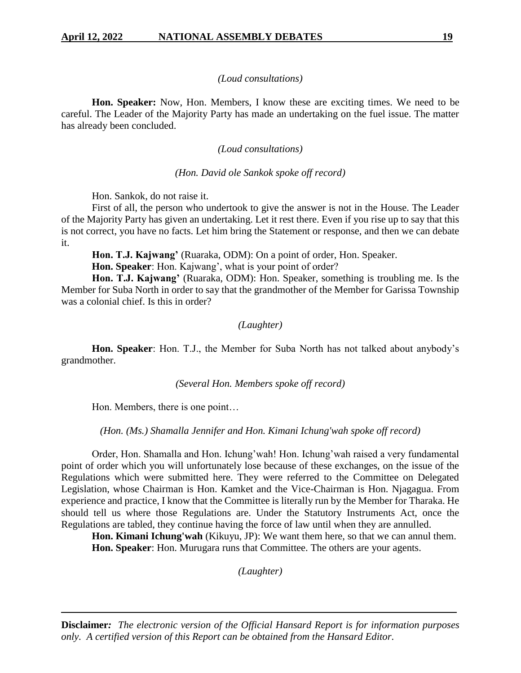## *(Loud consultations)*

**Hon. Speaker:** Now, Hon. Members, I know these are exciting times. We need to be careful. The Leader of the Majority Party has made an undertaking on the fuel issue. The matter has already been concluded.

# *(Loud consultations)*

# *(Hon. David ole Sankok spoke off record)*

Hon. Sankok, do not raise it.

First of all, the person who undertook to give the answer is not in the House. The Leader of the Majority Party has given an undertaking. Let it rest there. Even if you rise up to say that this is not correct, you have no facts. Let him bring the Statement or response, and then we can debate it.

**Hon. T.J. Kajwang'** (Ruaraka, ODM): On a point of order, Hon. Speaker.

**Hon. Speaker**: Hon. Kajwang', what is your point of order?

**Hon. T.J. Kajwang'** (Ruaraka, ODM): Hon. Speaker, something is troubling me. Is the Member for Suba North in order to say that the grandmother of the Member for Garissa Township was a colonial chief. Is this in order?

## *(Laughter)*

**Hon. Speaker**: Hon. T.J., the Member for Suba North has not talked about anybody's grandmother.

*(Several Hon. Members spoke off record)*

Hon. Members, there is one point…

*(Hon. (Ms.) Shamalla Jennifer and Hon. Kimani Ichung'wah spoke off record)*

Order, Hon. Shamalla and Hon. Ichung'wah! Hon. Ichung'wah raised a very fundamental point of order which you will unfortunately lose because of these exchanges, on the issue of the Regulations which were submitted here. They were referred to the Committee on Delegated Legislation, whose Chairman is Hon. Kamket and the Vice-Chairman is Hon. Njagagua. From experience and practice, I know that the Committee is literally run by the Member for Tharaka. He should tell us where those Regulations are. Under the Statutory Instruments Act, once the Regulations are tabled, they continue having the force of law until when they are annulled.

**Hon. Kimani Ichung'wah** (Kikuyu, JP): We want them here, so that we can annul them. **Hon. Speaker**: Hon. Murugara runs that Committee. The others are your agents.

*(Laughter)*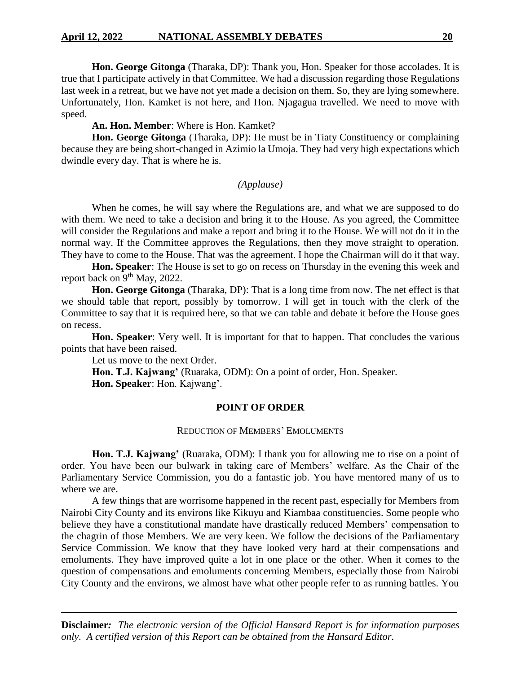**Hon. George Gitonga** (Tharaka, DP): Thank you, Hon. Speaker for those accolades. It is true that I participate actively in that Committee. We had a discussion regarding those Regulations last week in a retreat, but we have not yet made a decision on them. So, they are lying somewhere. Unfortunately, Hon. Kamket is not here, and Hon. Njagagua travelled. We need to move with speed.

**An. Hon. Member**: Where is Hon. Kamket?

**Hon. George Gitonga** (Tharaka, DP): He must be in Tiaty Constituency or complaining because they are being short-changed in Azimio la Umoja. They had very high expectations which dwindle every day. That is where he is.

## *(Applause)*

When he comes, he will say where the Regulations are, and what we are supposed to do with them. We need to take a decision and bring it to the House. As you agreed, the Committee will consider the Regulations and make a report and bring it to the House. We will not do it in the normal way. If the Committee approves the Regulations, then they move straight to operation. They have to come to the House. That was the agreement. I hope the Chairman will do it that way.

**Hon. Speaker**: The House is set to go on recess on Thursday in the evening this week and report back on 9<sup>th</sup> May, 2022.

**Hon. George Gitonga** (Tharaka, DP): That is a long time from now. The net effect is that we should table that report, possibly by tomorrow. I will get in touch with the clerk of the Committee to say that it is required here, so that we can table and debate it before the House goes on recess.

**Hon. Speaker**: Very well. It is important for that to happen. That concludes the various points that have been raised.

Let us move to the next Order.

**Hon. T.J. Kajwang'** (Ruaraka, ODM): On a point of order, Hon. Speaker. **Hon. Speaker**: Hon. Kajwang'.

# **POINT OF ORDER**

#### REDUCTION OF MEMBERS' EMOLUMENTS

Hon. T.J. Kajwang' (Ruaraka, ODM): I thank you for allowing me to rise on a point of order. You have been our bulwark in taking care of Members' welfare. As the Chair of the Parliamentary Service Commission, you do a fantastic job. You have mentored many of us to where we are.

A few things that are worrisome happened in the recent past, especially for Members from Nairobi City County and its environs like Kikuyu and Kiambaa constituencies. Some people who believe they have a constitutional mandate have drastically reduced Members' compensation to the chagrin of those Members. We are very keen. We follow the decisions of the Parliamentary Service Commission. We know that they have looked very hard at their compensations and emoluments. They have improved quite a lot in one place or the other. When it comes to the question of compensations and emoluments concerning Members, especially those from Nairobi City County and the environs, we almost have what other people refer to as running battles. You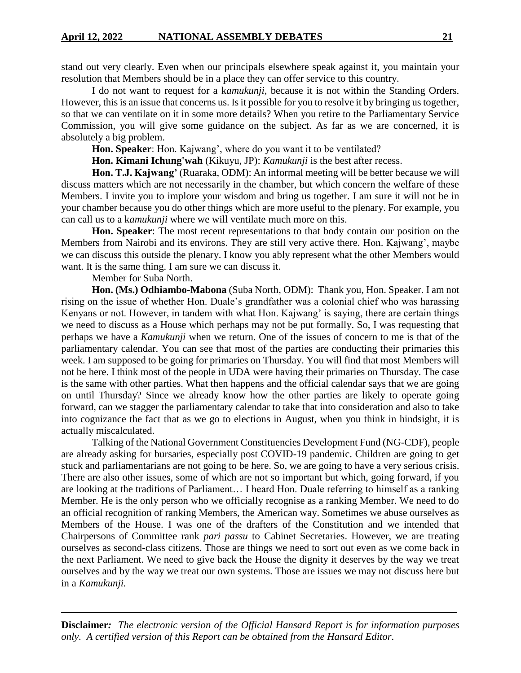stand out very clearly. Even when our principals elsewhere speak against it, you maintain your resolution that Members should be in a place they can offer service to this country.

I do not want to request for a k*amukunji,* because it is not within the Standing Orders. However, this is an issue that concerns us. Is it possible for you to resolve it by bringing us together, so that we can ventilate on it in some more details? When you retire to the Parliamentary Service Commission, you will give some guidance on the subject. As far as we are concerned, it is absolutely a big problem.

**Hon. Speaker**: Hon. Kajwang', where do you want it to be ventilated?

**Hon. Kimani Ichung'wah** (Kikuyu, JP): *Kamukunji* is the best after recess.

Hon. T.J. Kajwang' (Ruaraka, ODM): An informal meeting will be better because we will discuss matters which are not necessarily in the chamber, but which concern the welfare of these Members. I invite you to implore your wisdom and bring us together. I am sure it will not be in your chamber because you do other things which are more useful to the plenary. For example, you can call us to a k*amukunji* where we will ventilate much more on this.

**Hon. Speaker**: The most recent representations to that body contain our position on the Members from Nairobi and its environs. They are still very active there. Hon. Kajwang', maybe we can discuss this outside the plenary. I know you ably represent what the other Members would want. It is the same thing. I am sure we can discuss it.

Member for Suba North.

**Hon. (Ms.) Odhiambo-Mabona** (Suba North, ODM): Thank you, Hon. Speaker. I am not rising on the issue of whether Hon. Duale's grandfather was a colonial chief who was harassing Kenyans or not. However, in tandem with what Hon. Kajwang' is saying, there are certain things we need to discuss as a House which perhaps may not be put formally. So, I was requesting that perhaps we have a *Kamukunji* when we return. One of the issues of concern to me is that of the parliamentary calendar. You can see that most of the parties are conducting their primaries this week. I am supposed to be going for primaries on Thursday. You will find that most Members will not be here. I think most of the people in UDA were having their primaries on Thursday. The case is the same with other parties. What then happens and the official calendar says that we are going on until Thursday? Since we already know how the other parties are likely to operate going forward, can we stagger the parliamentary calendar to take that into consideration and also to take into cognizance the fact that as we go to elections in August, when you think in hindsight, it is actually miscalculated.

Talking of the National Government Constituencies Development Fund (NG-CDF), people are already asking for bursaries, especially post COVID-19 pandemic. Children are going to get stuck and parliamentarians are not going to be here. So, we are going to have a very serious crisis. There are also other issues, some of which are not so important but which, going forward, if you are looking at the traditions of Parliament… I heard Hon. Duale referring to himself as a ranking Member. He is the only person who we officially recognise as a ranking Member. We need to do an official recognition of ranking Members, the American way. Sometimes we abuse ourselves as Members of the House. I was one of the drafters of the Constitution and we intended that Chairpersons of Committee rank *pari passu* to Cabinet Secretaries. However, we are treating ourselves as second-class citizens. Those are things we need to sort out even as we come back in the next Parliament. We need to give back the House the dignity it deserves by the way we treat ourselves and by the way we treat our own systems. Those are issues we may not discuss here but in a *Kamukunji.*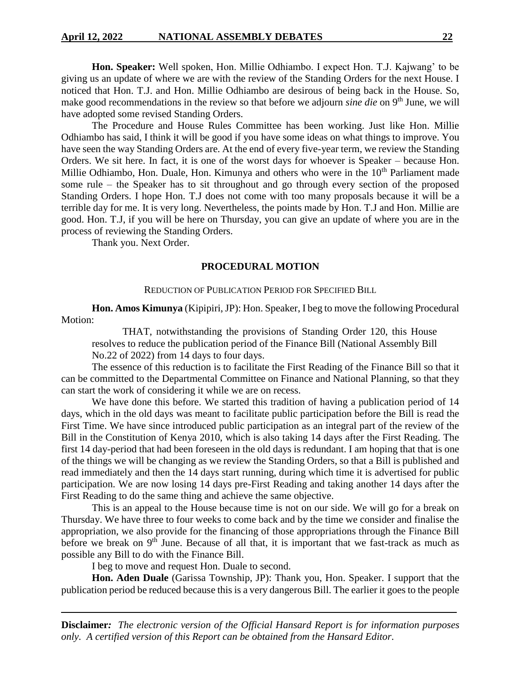**Hon. Speaker:** Well spoken, Hon. Millie Odhiambo. I expect Hon. T.J. Kajwang' to be giving us an update of where we are with the review of the Standing Orders for the next House. I noticed that Hon. T.J. and Hon. Millie Odhiambo are desirous of being back in the House. So, make good recommendations in the review so that before we adjourn *sine die* on 9<sup>th</sup> June, we will have adopted some revised Standing Orders.

The Procedure and House Rules Committee has been working. Just like Hon. Millie Odhiambo has said, I think it will be good if you have some ideas on what things to improve. You have seen the way Standing Orders are. At the end of every five-year term, we review the Standing Orders. We sit here. In fact, it is one of the worst days for whoever is Speaker – because Hon. Millie Odhiambo, Hon. Duale, Hon. Kimunya and others who were in the 10<sup>th</sup> Parliament made some rule – the Speaker has to sit throughout and go through every section of the proposed Standing Orders. I hope Hon. T.J does not come with too many proposals because it will be a terrible day for me. It is very long. Nevertheless, the points made by Hon. T.J and Hon. Millie are good. Hon. T.J, if you will be here on Thursday, you can give an update of where you are in the process of reviewing the Standing Orders.

Thank you. Next Order.

# **PROCEDURAL MOTION**

REDUCTION OF PUBLICATION PERIOD FOR SPECIFIED BILL

**Hon. Amos Kimunya** (Kipipiri, JP): Hon. Speaker, I beg to move the following Procedural Motion:

THAT, notwithstanding the provisions of Standing Order 120, this House resolves to reduce the publication period of the Finance Bill (National Assembly Bill No.22 of 2022) from 14 days to four days.

The essence of this reduction is to facilitate the First Reading of the Finance Bill so that it can be committed to the Departmental Committee on Finance and National Planning, so that they can start the work of considering it while we are on recess.

We have done this before. We started this tradition of having a publication period of 14 days, which in the old days was meant to facilitate public participation before the Bill is read the First Time. We have since introduced public participation as an integral part of the review of the Bill in the Constitution of Kenya 2010, which is also taking 14 days after the First Reading. The first 14 day-period that had been foreseen in the old days is redundant. I am hoping that that is one of the things we will be changing as we review the Standing Orders, so that a Bill is published and read immediately and then the 14 days start running, during which time it is advertised for public participation. We are now losing 14 days pre-First Reading and taking another 14 days after the First Reading to do the same thing and achieve the same objective.

This is an appeal to the House because time is not on our side. We will go for a break on Thursday. We have three to four weeks to come back and by the time we consider and finalise the appropriation, we also provide for the financing of those appropriations through the Finance Bill before we break on  $9<sup>th</sup>$  June. Because of all that, it is important that we fast-track as much as possible any Bill to do with the Finance Bill.

I beg to move and request Hon. Duale to second.

**Hon. Aden Duale** (Garissa Township, JP): Thank you, Hon. Speaker. I support that the publication period be reduced because this is a very dangerous Bill. The earlier it goes to the people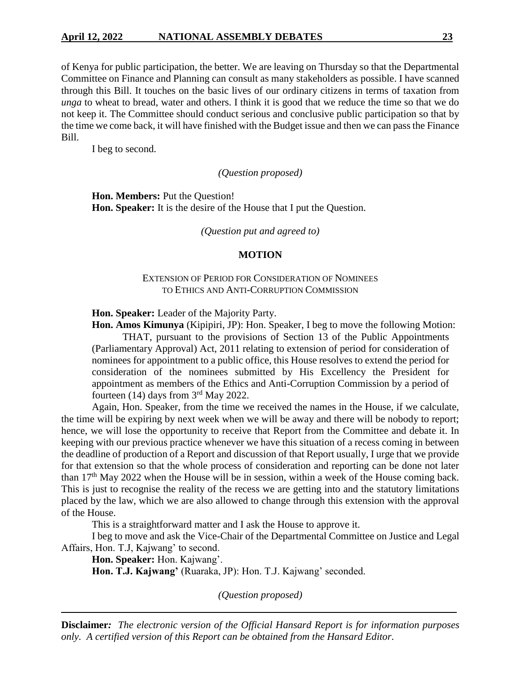of Kenya for public participation, the better. We are leaving on Thursday so that the Departmental Committee on Finance and Planning can consult as many stakeholders as possible. I have scanned through this Bill. It touches on the basic lives of our ordinary citizens in terms of taxation from *unga* to wheat to bread, water and others. I think it is good that we reduce the time so that we do not keep it. The Committee should conduct serious and conclusive public participation so that by the time we come back, it will have finished with the Budget issue and then we can pass the Finance Bill.

I beg to second.

*(Question proposed)*

**Hon. Members:** Put the Question! **Hon. Speaker:** It is the desire of the House that I put the Question.

*(Question put and agreed to)*

## **MOTION**

# EXTENSION OF PERIOD FOR CONSIDERATION OF NOMINEES TO ETHICS AND ANTI-CORRUPTION COMMISSION

**Hon. Speaker:** Leader of the Majority Party.

**Hon. Amos Kimunya** (Kipipiri, JP): Hon. Speaker, I beg to move the following Motion: THAT, pursuant to the provisions of Section 13 of the Public Appointments (Parliamentary Approval) Act, 2011 relating to extension of period for consideration of nominees for appointment to a public office, this House resolves to extend the period for consideration of the nominees submitted by His Excellency the President for appointment as members of the Ethics and Anti-Corruption Commission by a period of fourteen  $(14)$  days from  $3<sup>rd</sup>$  May 2022.

Again, Hon. Speaker, from the time we received the names in the House, if we calculate, the time will be expiring by next week when we will be away and there will be nobody to report; hence, we will lose the opportunity to receive that Report from the Committee and debate it. In keeping with our previous practice whenever we have this situation of a recess coming in between the deadline of production of a Report and discussion of that Report usually, I urge that we provide for that extension so that the whole process of consideration and reporting can be done not later than  $17<sup>th</sup>$  May 2022 when the House will be in session, within a week of the House coming back. This is just to recognise the reality of the recess we are getting into and the statutory limitations placed by the law, which we are also allowed to change through this extension with the approval of the House.

This is a straightforward matter and I ask the House to approve it.

I beg to move and ask the Vice-Chair of the Departmental Committee on Justice and Legal Affairs, Hon. T.J, Kajwang' to second.

**Hon. Speaker:** Hon. Kajwang'.

**Hon. T.J. Kajwang'** (Ruaraka, JP): Hon. T.J. Kajwang' seconded.

*(Question proposed)*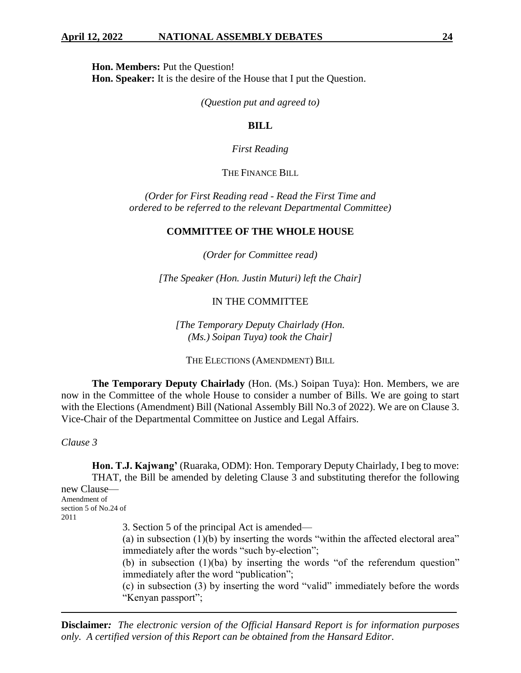**Hon. Members:** Put the Question!

**Hon. Speaker:** It is the desire of the House that I put the Question.

*(Question put and agreed to)*

# **BILL**

## *First Reading*

# THE FINANCE BILL

*(Order for First Reading read - Read the First Time and ordered to be referred to the relevant Departmental Committee)*

# **COMMITTEE OF THE WHOLE HOUSE**

*(Order for Committee read)*

*[The Speaker (Hon. Justin Muturi) left the Chair]*

# IN THE COMMITTEE

*[The Temporary Deputy Chairlady (Hon. (Ms.) Soipan Tuya) took the Chair]*

THE ELECTIONS (AMENDMENT) BILL

**The Temporary Deputy Chairlady** (Hon. (Ms.) Soipan Tuya): Hon. Members, we are now in the Committee of the whole House to consider a number of Bills. We are going to start with the Elections (Amendment) Bill (National Assembly Bill No.3 of 2022). We are on Clause 3. Vice-Chair of the Departmental Committee on Justice and Legal Affairs.

*Clause 3*

**Hon. T.J. Kajwang'** (Ruaraka, ODM): Hon. Temporary Deputy Chairlady, I beg to move: THAT, the Bill be amended by deleting Clause 3 and substituting therefor the following new Clause— Amendment of section 5 of No.24 of 2011

3. Section 5 of the principal Act is amended—

(a) in subsection (1)(b) by inserting the words "within the affected electoral area" immediately after the words "such by-election";

(b) in subsection (1)(ba) by inserting the words "of the referendum question" immediately after the word "publication";

(c) in subsection (3) by inserting the word "valid" immediately before the words "Kenyan passport";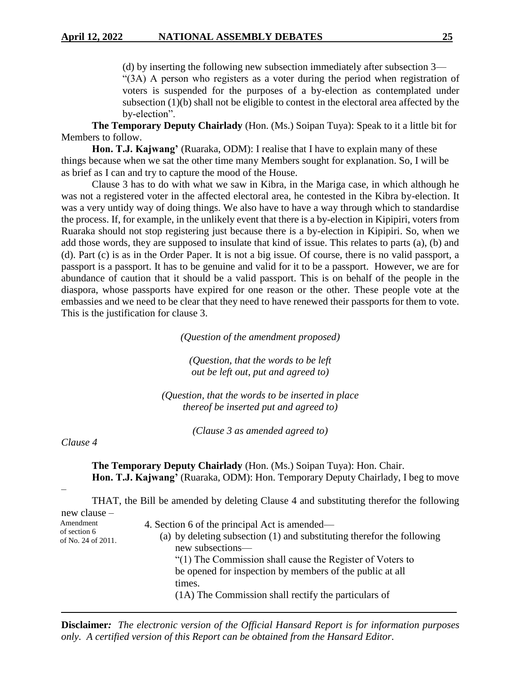(d) by inserting the following new subsection immediately after subsection 3— "(3A) A person who registers as a voter during the period when registration of voters is suspended for the purposes of a by-election as contemplated under subsection (1)(b) shall not be eligible to contest in the electoral area affected by the by-election".

**The Temporary Deputy Chairlady** (Hon. (Ms.) Soipan Tuya): Speak to it a little bit for Members to follow.

**Hon. T.J. Kajwang'** (Ruaraka, ODM): I realise that I have to explain many of these things because when we sat the other time many Members sought for explanation. So, I will be as brief as I can and try to capture the mood of the House.

Clause 3 has to do with what we saw in Kibra, in the Mariga case, in which although he was not a registered voter in the affected electoral area, he contested in the Kibra by-election. It was a very untidy way of doing things. We also have to have a way through which to standardise the process. If, for example, in the unlikely event that there is a by-election in Kipipiri, voters from Ruaraka should not stop registering just because there is a by-election in Kipipiri. So, when we add those words, they are supposed to insulate that kind of issue. This relates to parts (a), (b) and (d). Part (c) is as in the Order Paper. It is not a big issue. Of course, there is no valid passport, a passport is a passport. It has to be genuine and valid for it to be a passport. However, we are for abundance of caution that it should be a valid passport. This is on behalf of the people in the diaspora, whose passports have expired for one reason or the other. These people vote at the embassies and we need to be clear that they need to have renewed their passports for them to vote. This is the justification for clause 3.

*(Question of the amendment proposed)*

*(Question, that the words to be left out be left out, put and agreed to)*

*(Question, that the words to be inserted in place thereof be inserted put and agreed to)*

*(Clause 3 as amended agreed to)*

*Clause 4*

**The Temporary Deputy Chairlady** (Hon. (Ms.) Soipan Tuya): Hon. Chair. **Hon. T.J. Kajwang'** (Ruaraka, ODM): Hon. Temporary Deputy Chairlady, I beg to move

–

THAT, the Bill be amended by deleting Clause 4 and substituting therefor the following new clause – Amendment of section 6 of No. 24 of 2011. 4. Section 6 of the principal Act is amended— (a) by deleting subsection (1) and substituting therefor the following

new subsections— "(1) The Commission shall cause the Register of Voters to be opened for inspection by members of the public at all times. (1A) The Commission shall rectify the particulars of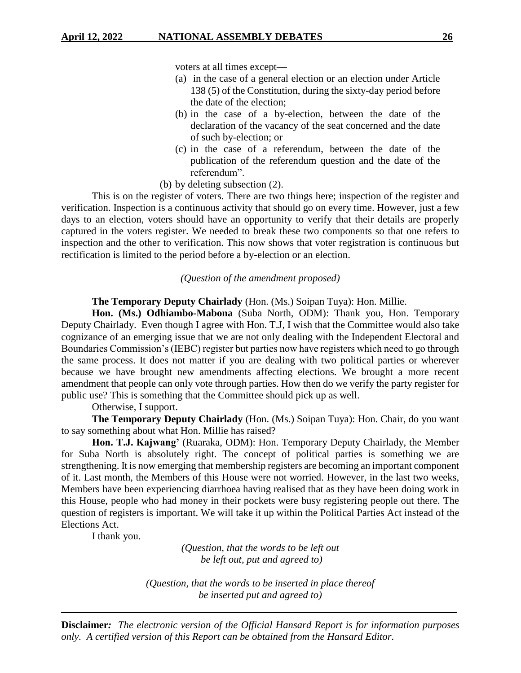voters at all times except—

- (a) in the case of a general election or an election under Article 138 (5) of the Constitution, during the sixty-day period before the date of the election;
- (b) in the case of a by-election, between the date of the declaration of the vacancy of the seat concerned and the date of such by-election; or
- (c) in the case of a referendum, between the date of the publication of the referendum question and the date of the referendum".
- (b) by deleting subsection (2).

This is on the register of voters. There are two things here; inspection of the register and verification. Inspection is a continuous activity that should go on every time. However, just a few days to an election, voters should have an opportunity to verify that their details are properly captured in the voters register. We needed to break these two components so that one refers to inspection and the other to verification. This now shows that voter registration is continuous but rectification is limited to the period before a by-election or an election.

#### *(Question of the amendment proposed)*

**The Temporary Deputy Chairlady** (Hon. (Ms.) Soipan Tuya): Hon. Millie.

**Hon. (Ms.) Odhiambo-Mabona** (Suba North, ODM): Thank you, Hon. Temporary Deputy Chairlady. Even though I agree with Hon. T.J, I wish that the Committee would also take cognizance of an emerging issue that we are not only dealing with the Independent Electoral and Boundaries Commission's (IEBC) register but parties now have registers which need to go through the same process. It does not matter if you are dealing with two political parties or wherever because we have brought new amendments affecting elections. We brought a more recent amendment that people can only vote through parties. How then do we verify the party register for public use? This is something that the Committee should pick up as well.

Otherwise, I support.

**The Temporary Deputy Chairlady** (Hon. (Ms.) Soipan Tuya): Hon. Chair, do you want to say something about what Hon. Millie has raised?

**Hon. T.J. Kajwang'** (Ruaraka, ODM): Hon. Temporary Deputy Chairlady, the Member for Suba North is absolutely right. The concept of political parties is something we are strengthening. It is now emerging that membership registers are becoming an important component of it. Last month, the Members of this House were not worried. However, in the last two weeks, Members have been experiencing diarrhoea having realised that as they have been doing work in this House, people who had money in their pockets were busy registering people out there. The question of registers is important. We will take it up within the Political Parties Act instead of the Elections Act.

I thank you.

*(Question, that the words to be left out be left out, put and agreed to)*

*(Question, that the words to be inserted in place thereof be inserted put and agreed to)*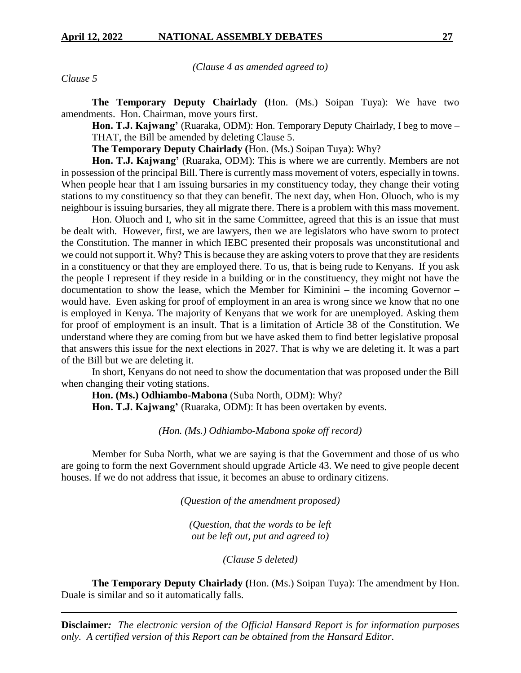*(Clause 4 as amended agreed to)*

*Clause 5*

**The Temporary Deputy Chairlady (**Hon. (Ms.) Soipan Tuya): We have two amendments. Hon. Chairman, move yours first.

**Hon. T.J. Kajwang'** (Ruaraka, ODM): Hon. Temporary Deputy Chairlady, I beg to move – THAT, the Bill be amended by deleting Clause 5.

**The Temporary Deputy Chairlady (**Hon. (Ms.) Soipan Tuya): Why?

**Hon. T.J. Kajwang'** (Ruaraka, ODM): This is where we are currently. Members are not in possession of the principal Bill. There is currently mass movement of voters, especially in towns. When people hear that I am issuing bursaries in my constituency today, they change their voting stations to my constituency so that they can benefit. The next day, when Hon. Oluoch, who is my neighbour is issuing bursaries, they all migrate there. There is a problem with this mass movement.

Hon. Oluoch and I, who sit in the same Committee, agreed that this is an issue that must be dealt with. However, first, we are lawyers, then we are legislators who have sworn to protect the Constitution. The manner in which IEBC presented their proposals was unconstitutional and we could not support it. Why? This is because they are asking voters to prove that they are residents in a constituency or that they are employed there. To us, that is being rude to Kenyans. If you ask the people I represent if they reside in a building or in the constituency, they might not have the documentation to show the lease, which the Member for Kiminini – the incoming Governor – would have. Even asking for proof of employment in an area is wrong since we know that no one is employed in Kenya. The majority of Kenyans that we work for are unemployed. Asking them for proof of employment is an insult. That is a limitation of Article 38 of the Constitution. We understand where they are coming from but we have asked them to find better legislative proposal that answers this issue for the next elections in 2027. That is why we are deleting it. It was a part of the Bill but we are deleting it.

In short, Kenyans do not need to show the documentation that was proposed under the Bill when changing their voting stations.

**Hon. (Ms.) Odhiambo-Mabona** (Suba North, ODM): Why? **Hon. T.J. Kajwang'** (Ruaraka, ODM): It has been overtaken by events.

*(Hon. (Ms.) Odhiambo-Mabona spoke off record)*

Member for Suba North, what we are saying is that the Government and those of us who are going to form the next Government should upgrade Article 43. We need to give people decent houses. If we do not address that issue, it becomes an abuse to ordinary citizens.

*(Question of the amendment proposed)*

*(Question, that the words to be left out be left out, put and agreed to)*

*(Clause 5 deleted)*

**The Temporary Deputy Chairlady (**Hon. (Ms.) Soipan Tuya): The amendment by Hon. Duale is similar and so it automatically falls.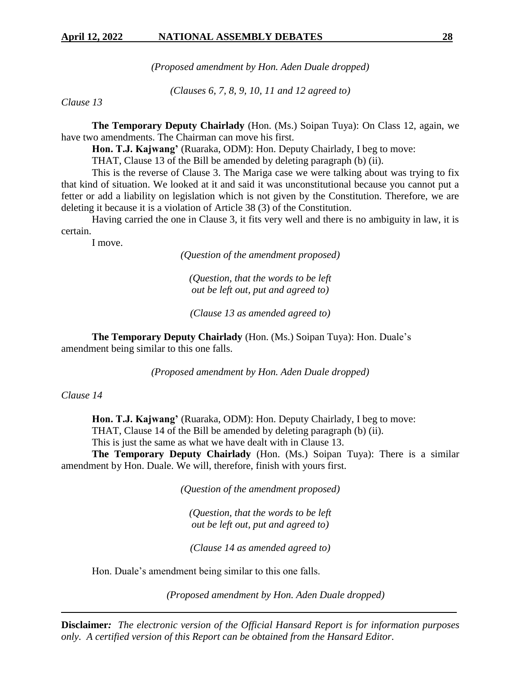*(Proposed amendment by Hon. Aden Duale dropped)*

*(Clauses 6, 7, 8, 9, 10, 11 and 12 agreed to)*

*Clause 13*

**The Temporary Deputy Chairlady** (Hon. (Ms.) Soipan Tuya): On Class 12, again, we have two amendments. The Chairman can move his first.

**Hon. T.J. Kajwang'** (Ruaraka, ODM): Hon. Deputy Chairlady, I beg to move:

THAT, Clause 13 of the Bill be amended by deleting paragraph (b) (ii).

This is the reverse of Clause 3. The Mariga case we were talking about was trying to fix that kind of situation. We looked at it and said it was unconstitutional because you cannot put a fetter or add a liability on legislation which is not given by the Constitution. Therefore, we are deleting it because it is a violation of Article 38 (3) of the Constitution.

Having carried the one in Clause 3, it fits very well and there is no ambiguity in law, it is certain.

I move.

*(Question of the amendment proposed)*

*(Question, that the words to be left out be left out, put and agreed to)*

*(Clause 13 as amended agreed to)*

**The Temporary Deputy Chairlady** (Hon. (Ms.) Soipan Tuya): Hon. Duale's amendment being similar to this one falls.

*(Proposed amendment by Hon. Aden Duale dropped)*

*Clause 14*

**Hon. T.J. Kajwang'** (Ruaraka, ODM): Hon. Deputy Chairlady, I beg to move: THAT, Clause 14 of the Bill be amended by deleting paragraph (b) (ii). This is just the same as what we have dealt with in Clause 13.

**The Temporary Deputy Chairlady** (Hon. (Ms.) Soipan Tuya): There is a similar amendment by Hon. Duale. We will, therefore, finish with yours first.

*(Question of the amendment proposed)*

*(Question, that the words to be left out be left out, put and agreed to)*

*(Clause 14 as amended agreed to)*

Hon. Duale's amendment being similar to this one falls.

*(Proposed amendment by Hon. Aden Duale dropped)*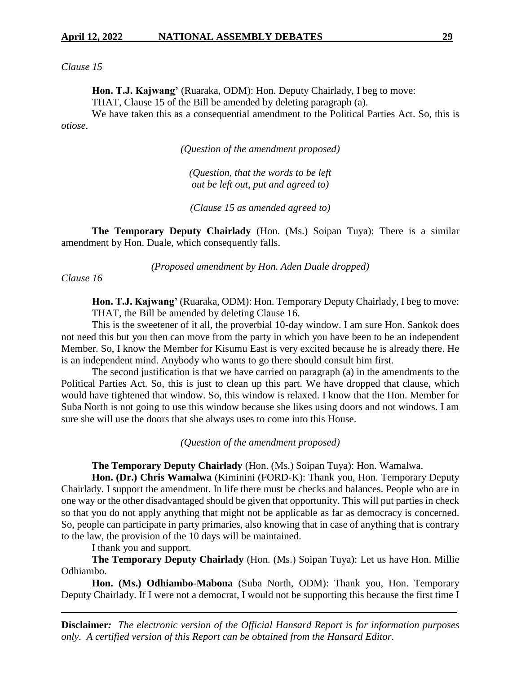*Clause 15*

**Hon. T.J. Kajwang'** (Ruaraka, ODM): Hon. Deputy Chairlady, I beg to move: THAT, Clause 15 of the Bill be amended by deleting paragraph (a).

We have taken this as a consequential amendment to the Political Parties Act. So, this is *otiose*.

*(Question of the amendment proposed)*

*(Question, that the words to be left out be left out, put and agreed to)*

*(Clause 15 as amended agreed to)*

**The Temporary Deputy Chairlady** (Hon. (Ms.) Soipan Tuya): There is a similar amendment by Hon. Duale, which consequently falls.

*(Proposed amendment by Hon. Aden Duale dropped)*

*Clause 16*

**Hon. T.J. Kajwang'** (Ruaraka, ODM): Hon. Temporary Deputy Chairlady, I beg to move: THAT, the Bill be amended by deleting Clause 16.

This is the sweetener of it all, the proverbial 10-day window. I am sure Hon. Sankok does not need this but you then can move from the party in which you have been to be an independent Member. So, I know the Member for Kisumu East is very excited because he is already there. He is an independent mind. Anybody who wants to go there should consult him first.

The second justification is that we have carried on paragraph (a) in the amendments to the Political Parties Act. So, this is just to clean up this part. We have dropped that clause, which would have tightened that window. So, this window is relaxed. I know that the Hon. Member for Suba North is not going to use this window because she likes using doors and not windows. I am sure she will use the doors that she always uses to come into this House.

*(Question of the amendment proposed)*

**The Temporary Deputy Chairlady** (Hon. (Ms.) Soipan Tuya): Hon. Wamalwa.

**Hon. (Dr.) Chris Wamalwa** (Kiminini (FORD-K): Thank you, Hon. Temporary Deputy Chairlady. I support the amendment. In life there must be checks and balances. People who are in one way or the other disadvantaged should be given that opportunity. This will put parties in check so that you do not apply anything that might not be applicable as far as democracy is concerned. So, people can participate in party primaries, also knowing that in case of anything that is contrary to the law, the provision of the 10 days will be maintained.

I thank you and support.

**The Temporary Deputy Chairlady** (Hon. (Ms.) Soipan Tuya): Let us have Hon. Millie Odhiambo.

**Hon. (Ms.) Odhiambo**-**Mabona** (Suba North, ODM): Thank you, Hon. Temporary Deputy Chairlady. If I were not a democrat, I would not be supporting this because the first time I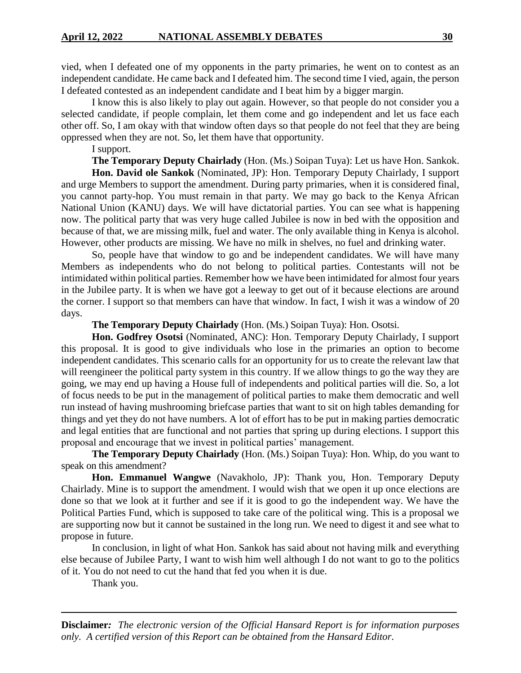vied, when I defeated one of my opponents in the party primaries, he went on to contest as an independent candidate. He came back and I defeated him. The second time I vied, again, the person I defeated contested as an independent candidate and I beat him by a bigger margin.

I know this is also likely to play out again. However, so that people do not consider you a selected candidate, if people complain, let them come and go independent and let us face each other off. So, I am okay with that window often days so that people do not feel that they are being oppressed when they are not. So, let them have that opportunity.

I support.

**The Temporary Deputy Chairlady** (Hon. (Ms.) Soipan Tuya): Let us have Hon. Sankok. **Hon. David ole Sankok** (Nominated, JP): Hon. Temporary Deputy Chairlady, I support

and urge Members to support the amendment. During party primaries, when it is considered final, you cannot party-hop. You must remain in that party. We may go back to the Kenya African National Union (KANU) days. We will have dictatorial parties. You can see what is happening now. The political party that was very huge called Jubilee is now in bed with the opposition and because of that, we are missing milk, fuel and water. The only available thing in Kenya is alcohol. However, other products are missing. We have no milk in shelves, no fuel and drinking water.

So, people have that window to go and be independent candidates. We will have many Members as independents who do not belong to political parties. Contestants will not be intimidated within political parties. Remember how we have been intimidated for almost four years in the Jubilee party. It is when we have got a leeway to get out of it because elections are around the corner. I support so that members can have that window. In fact, I wish it was a window of 20 days.

**The Temporary Deputy Chairlady** (Hon. (Ms.) Soipan Tuya): Hon. Osotsi.

**Hon. Godfrey Osotsi** (Nominated, ANC): Hon. Temporary Deputy Chairlady, I support this proposal. It is good to give individuals who lose in the primaries an option to become independent candidates. This scenario calls for an opportunity for us to create the relevant law that will reengineer the political party system in this country. If we allow things to go the way they are going, we may end up having a House full of independents and political parties will die. So, a lot of focus needs to be put in the management of political parties to make them democratic and well run instead of having mushrooming briefcase parties that want to sit on high tables demanding for things and yet they do not have numbers. A lot of effort has to be put in making parties democratic and legal entities that are functional and not parties that spring up during elections. I support this proposal and encourage that we invest in political parties' management.

**The Temporary Deputy Chairlady** (Hon. (Ms.) Soipan Tuya): Hon. Whip, do you want to speak on this amendment?

**Hon. Emmanuel Wangwe** (Navakholo, JP): Thank you, Hon. Temporary Deputy Chairlady. Mine is to support the amendment. I would wish that we open it up once elections are done so that we look at it further and see if it is good to go the independent way. We have the Political Parties Fund, which is supposed to take care of the political wing. This is a proposal we are supporting now but it cannot be sustained in the long run. We need to digest it and see what to propose in future.

In conclusion, in light of what Hon. Sankok has said about not having milk and everything else because of Jubilee Party, I want to wish him well although I do not want to go to the politics of it. You do not need to cut the hand that fed you when it is due.

Thank you.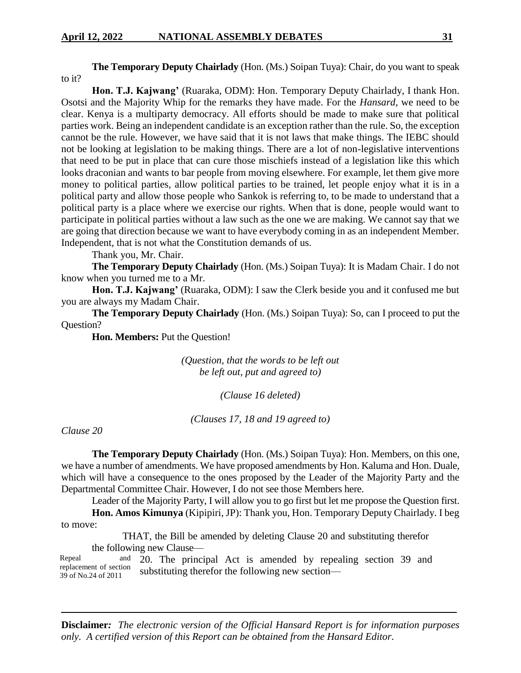**The Temporary Deputy Chairlady** (Hon. (Ms.) Soipan Tuya): Chair, do you want to speak to it?

**Hon. T.J. Kajwang'** (Ruaraka, ODM): Hon. Temporary Deputy Chairlady, I thank Hon. Osotsi and the Majority Whip for the remarks they have made. For the *Hansard*, we need to be clear. Kenya is a multiparty democracy. All efforts should be made to make sure that political parties work. Being an independent candidate is an exception rather than the rule. So, the exception cannot be the rule. However, we have said that it is not laws that make things. The IEBC should not be looking at legislation to be making things. There are a lot of non-legislative interventions that need to be put in place that can cure those mischiefs instead of a legislation like this which looks draconian and wants to bar people from moving elsewhere. For example, let them give more money to political parties, allow political parties to be trained, let people enjoy what it is in a political party and allow those people who Sankok is referring to, to be made to understand that a political party is a place where we exercise our rights. When that is done, people would want to participate in political parties without a law such as the one we are making. We cannot say that we are going that direction because we want to have everybody coming in as an independent Member. Independent, that is not what the Constitution demands of us.

Thank you, Mr. Chair.

**The Temporary Deputy Chairlady** (Hon. (Ms.) Soipan Tuya): It is Madam Chair. I do not know when you turned me to a Mr.

**Hon. T.J. Kajwang'** (Ruaraka, ODM): I saw the Clerk beside you and it confused me but you are always my Madam Chair.

**The Temporary Deputy Chairlady** (Hon. (Ms.) Soipan Tuya): So, can I proceed to put the Question?

**Hon. Members:** Put the Question!

*(Question, that the words to be left out be left out, put and agreed to)*

*(Clause 16 deleted)*

*(Clauses 17, 18 and 19 agreed to)*

*Clause 20*

**The Temporary Deputy Chairlady** (Hon. (Ms.) Soipan Tuya): Hon. Members, on this one, we have a number of amendments. We have proposed amendments by Hon. Kaluma and Hon. Duale, which will have a consequence to the ones proposed by the Leader of the Majority Party and the Departmental Committee Chair. However, I do not see those Members here.

Leader of the Majority Party, I will allow you to go first but let me propose the Question first.

**Hon. Amos Kimunya** (Kipipiri, JP): Thank you, Hon. Temporary Deputy Chairlady. I beg to move:

THAT, the Bill be amended by deleting Clause 20 and substituting therefor the following new Clause—

Repeal and replacement of section 39 of No.24 of 2011 20. The principal Act is amended by repealing section 39 and substituting therefor the following new section—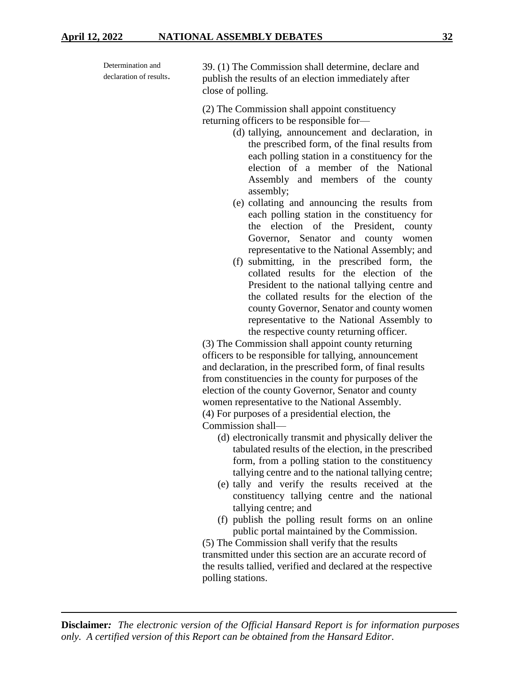| Determination and<br>declaration of results. | 39. (1) The Commission shall determine, declare and<br>publish the results of an election immediately after<br>close of polling.                                                                                                                                                                                                            |
|----------------------------------------------|---------------------------------------------------------------------------------------------------------------------------------------------------------------------------------------------------------------------------------------------------------------------------------------------------------------------------------------------|
|                                              | (2) The Commission shall appoint constituency<br>returning officers to be responsible for-<br>(d) tallying, announcement and declaration, in<br>the prescribed form, of the final results from<br>each polling station in a constituency for the<br>election of a member of the National<br>Assembly and members of the county<br>assembly; |
|                                              |                                                                                                                                                                                                                                                                                                                                             |

- (e) collating and announcing the results from each polling station in the constituency for the election of the President, county Governor, Senator and county women representative to the National Assembly; and
- (f) submitting, in the prescribed form, the collated results for the election of the President to the national tallying centre and the collated results for the election of the county Governor, Senator and county women representative to the National Assembly to the respective county returning officer.

(3) The Commission shall appoint county returning officers to be responsible for tallying, announcement and declaration, in the prescribed form, of final results from constituencies in the county for purposes of the election of the county Governor, Senator and county women representative to the National Assembly. (4) For purposes of a presidential election, the

Commission shall—

- (d) electronically transmit and physically deliver the tabulated results of the election, in the prescribed form, from a polling station to the constituency tallying centre and to the national tallying centre;
- (e) tally and verify the results received at the constituency tallying centre and the national tallying centre; and
- (f) publish the polling result forms on an online public portal maintained by the Commission.

(5) The Commission shall verify that the results transmitted under this section are an accurate record of the results tallied, verified and declared at the respective polling stations.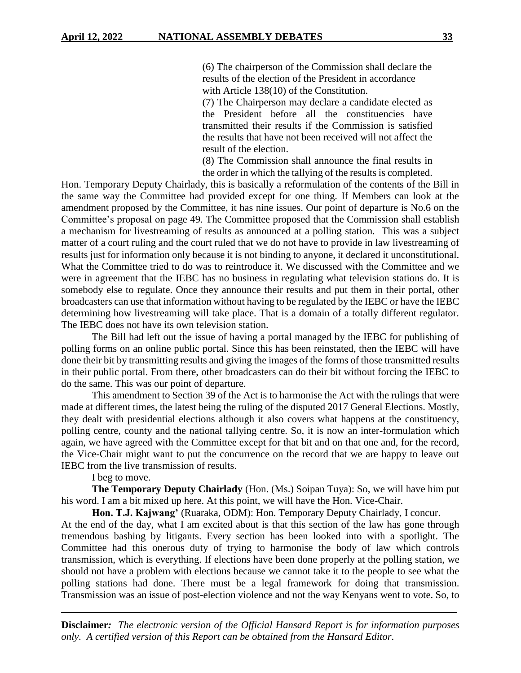(6) The chairperson of the Commission shall declare the results of the election of the President in accordance with Article 138(10) of the Constitution.

(7) The Chairperson may declare a candidate elected as the President before all the constituencies have transmitted their results if the Commission is satisfied the results that have not been received will not affect the result of the election.

(8) The Commission shall announce the final results in the order in which the tallying of the results is completed.

Hon. Temporary Deputy Chairlady, this is basically a reformulation of the contents of the Bill in the same way the Committee had provided except for one thing. If Members can look at the amendment proposed by the Committee, it has nine issues. Our point of departure is No.6 on the Committee's proposal on page 49. The Committee proposed that the Commission shall establish a mechanism for livestreaming of results as announced at a polling station. This was a subject matter of a court ruling and the court ruled that we do not have to provide in law livestreaming of results just for information only because it is not binding to anyone, it declared it unconstitutional. What the Committee tried to do was to reintroduce it. We discussed with the Committee and we were in agreement that the IEBC has no business in regulating what television stations do. It is somebody else to regulate. Once they announce their results and put them in their portal, other broadcasters can use that information without having to be regulated by the IEBC or have the IEBC determining how livestreaming will take place. That is a domain of a totally different regulator. The IEBC does not have its own television station.

The Bill had left out the issue of having a portal managed by the IEBC for publishing of polling forms on an online public portal. Since this has been reinstated, then the IEBC will have done their bit by transmitting results and giving the images of the forms of those transmitted results in their public portal. From there, other broadcasters can do their bit without forcing the IEBC to do the same. This was our point of departure.

This amendment to Section 39 of the Act is to harmonise the Act with the rulings that were made at different times, the latest being the ruling of the disputed 2017 General Elections. Mostly, they dealt with presidential elections although it also covers what happens at the constituency, polling centre, county and the national tallying centre. So, it is now an inter-formulation which again, we have agreed with the Committee except for that bit and on that one and, for the record, the Vice-Chair might want to put the concurrence on the record that we are happy to leave out IEBC from the live transmission of results.

I beg to move.

**The Temporary Deputy Chairlady** (Hon. (Ms.) Soipan Tuya): So, we will have him put his word. I am a bit mixed up here. At this point, we will have the Hon. Vice-Chair.

**Hon. T.J. Kajwang'** (Ruaraka, ODM): Hon. Temporary Deputy Chairlady, I concur.

At the end of the day, what I am excited about is that this section of the law has gone through tremendous bashing by litigants. Every section has been looked into with a spotlight. The Committee had this onerous duty of trying to harmonise the body of law which controls transmission, which is everything. If elections have been done properly at the polling station, we should not have a problem with elections because we cannot take it to the people to see what the polling stations had done. There must be a legal framework for doing that transmission. Transmission was an issue of post-election violence and not the way Kenyans went to vote. So, to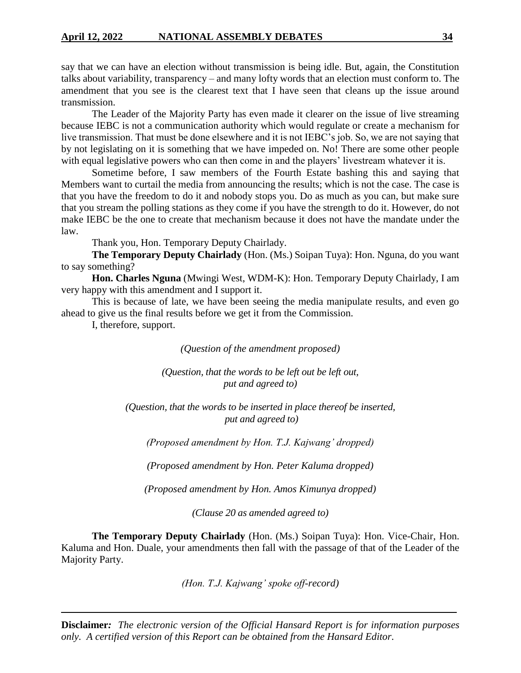say that we can have an election without transmission is being idle. But, again, the Constitution talks about variability, transparency – and many lofty words that an election must conform to. The amendment that you see is the clearest text that I have seen that cleans up the issue around transmission.

The Leader of the Majority Party has even made it clearer on the issue of live streaming because IEBC is not a communication authority which would regulate or create a mechanism for live transmission. That must be done elsewhere and it is not IEBC's job. So, we are not saying that by not legislating on it is something that we have impeded on. No! There are some other people with equal legislative powers who can then come in and the players' livestream whatever it is.

Sometime before, I saw members of the Fourth Estate bashing this and saying that Members want to curtail the media from announcing the results; which is not the case. The case is that you have the freedom to do it and nobody stops you. Do as much as you can, but make sure that you stream the polling stations as they come if you have the strength to do it. However, do not make IEBC be the one to create that mechanism because it does not have the mandate under the law.

Thank you, Hon. Temporary Deputy Chairlady.

**The Temporary Deputy Chairlady** (Hon. (Ms.) Soipan Tuya): Hon. Nguna, do you want to say something?

**Hon. Charles Nguna** (Mwingi West, WDM-K): Hon. Temporary Deputy Chairlady, I am very happy with this amendment and I support it.

This is because of late, we have been seeing the media manipulate results, and even go ahead to give us the final results before we get it from the Commission.

I, therefore, support.

*(Question of the amendment proposed)*

*(Question, that the words to be left out be left out, put and agreed to)*

*(Question, that the words to be inserted in place thereof be inserted, put and agreed to)*

*(Proposed amendment by Hon. T.J. Kajwang' dropped)*

*(Proposed amendment by Hon. Peter Kaluma dropped)*

*(Proposed amendment by Hon. Amos Kimunya dropped)*

*(Clause 20 as amended agreed to)*

**The Temporary Deputy Chairlady** (Hon. (Ms.) Soipan Tuya): Hon. Vice-Chair, Hon. Kaluma and Hon. Duale, your amendments then fall with the passage of that of the Leader of the Majority Party.

*(Hon. T.J. Kajwang' spoke off-record)*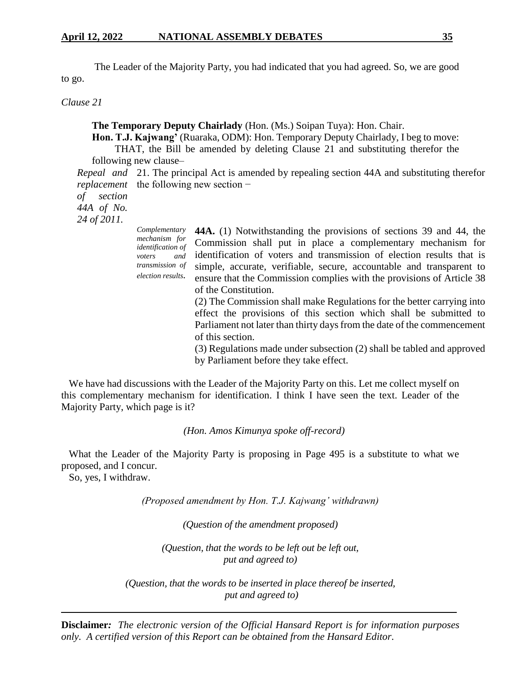The Leader of the Majority Party, you had indicated that you had agreed. So, we are good to go.

*Clause 21*

**The Temporary Deputy Chairlady** (Hon. (Ms.) Soipan Tuya): Hon. Chair.

**Hon. T.J. Kajwang'** (Ruaraka, ODM): Hon. Temporary Deputy Chairlady, I beg to move:

THAT, the Bill be amended by deleting Clause 21 and substituting therefor the following new clause–

*Repeal and*  21. The principal Act is amended by repealing section 44A and substituting therefor *replacement* the following new section –

*of section* 

*44A of No.* 

*24 of 2011.*

*Complementary mechanism for identification of voters and transmission of election results.* **44A.** (1) Notwithstanding the provisions of sections 39 and 44, the Commission shall put in place a complementary mechanism for identification of voters and transmission of election results that is simple, accurate, verifiable, secure, accountable and transparent to ensure that the Commission complies with the provisions of Article 38 of the Constitution. (2) The Commission shall make Regulations for the better carrying into effect the provisions of this section which shall be submitted to Parliament not later than thirty days from the date of the commencement of this section. (3) Regulations made under subsection (2) shall be tabled and approved

by Parliament before they take effect.

We have had discussions with the Leader of the Majority Party on this. Let me collect myself on this complementary mechanism for identification. I think I have seen the text. Leader of the Majority Party, which page is it?

*(Hon. Amos Kimunya spoke off-record)*

What the Leader of the Majority Party is proposing in Page 495 is a substitute to what we proposed, and I concur.

So, yes, I withdraw.

*(Proposed amendment by Hon. T.J. Kajwang' withdrawn)*

*(Question of the amendment proposed)*

*(Question, that the words to be left out be left out, put and agreed to)*

*(Question, that the words to be inserted in place thereof be inserted, put and agreed to)*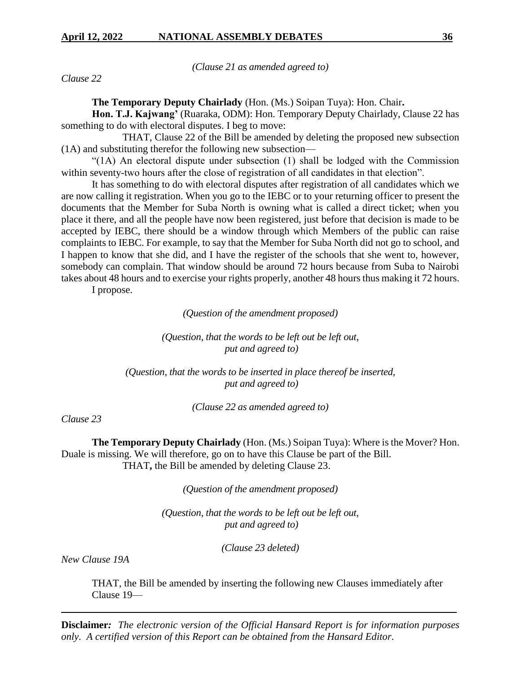*(Clause 21 as amended agreed to)*

*Clause 22*

**The Temporary Deputy Chairlady** (Hon. (Ms.) Soipan Tuya): Hon. Chair**.**

**Hon. T.J. Kajwang'** (Ruaraka, ODM): Hon. Temporary Deputy Chairlady, Clause 22 has something to do with electoral disputes. I beg to move:

THAT, Clause 22 of the Bill be amended by deleting the proposed new subsection (1A) and substituting therefor the following new subsection—

"(1A) An electoral dispute under subsection (1) shall be lodged with the Commission within seventy-two hours after the close of registration of all candidates in that election".

It has something to do with electoral disputes after registration of all candidates which we are now calling it registration. When you go to the IEBC or to your returning officer to present the documents that the Member for Suba North is owning what is called a direct ticket; when you place it there, and all the people have now been registered, just before that decision is made to be accepted by IEBC, there should be a window through which Members of the public can raise complaints to IEBC. For example, to say that the Member for Suba North did not go to school, and I happen to know that she did, and I have the register of the schools that she went to, however, somebody can complain. That window should be around 72 hours because from Suba to Nairobi takes about 48 hours and to exercise your rights properly, another 48 hours thus making it 72 hours.

I propose.

*(Question of the amendment proposed)*

*(Question, that the words to be left out be left out, put and agreed to)*

*(Question, that the words to be inserted in place thereof be inserted, put and agreed to)*

*(Clause 22 as amended agreed to)*

*Clause 23*

**The Temporary Deputy Chairlady** (Hon. (Ms.) Soipan Tuya): Where is the Mover? Hon. Duale is missing. We will therefore, go on to have this Clause be part of the Bill. THAT**,** the Bill be amended by deleting Clause 23.

*(Question of the amendment proposed)*

*(Question, that the words to be left out be left out, put and agreed to)*

*(Clause 23 deleted)*

*New Clause 19A*

THAT, the Bill be amended by inserting the following new Clauses immediately after Clause 19—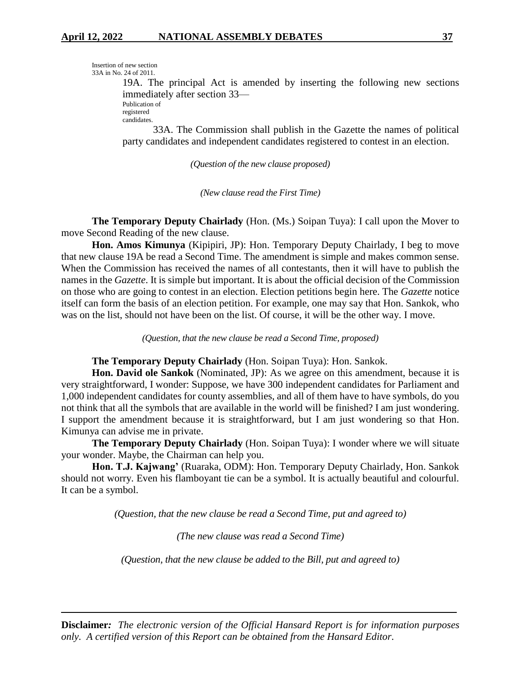```
Insertion of new section
33A in No. 24 of 2011.
```
19A. The principal Act is amended by inserting the following new sections immediately after section 33—

Publication of registered

candidates.

33A. The Commission shall publish in the Gazette the names of political party candidates and independent candidates registered to contest in an election.

*(Question of the new clause proposed)*

*(New clause read the First Time)*

**The Temporary Deputy Chairlady** (Hon. (Ms.) Soipan Tuya): I call upon the Mover to move Second Reading of the new clause.

**Hon. Amos Kimunya** (Kipipiri, JP): Hon. Temporary Deputy Chairlady, I beg to move that new clause 19A be read a Second Time. The amendment is simple and makes common sense. When the Commission has received the names of all contestants, then it will have to publish the names in the *Gazette*. It is simple but important. It is about the official decision of the Commission on those who are going to contest in an election. Election petitions begin here. The *Gazette* notice itself can form the basis of an election petition. For example, one may say that Hon. Sankok, who was on the list, should not have been on the list. Of course, it will be the other way. I move.

*(Question, that the new clause be read a Second Time, proposed)*

## **The Temporary Deputy Chairlady** (Hon. Soipan Tuya): Hon. Sankok.

**Hon. David ole Sankok** (Nominated, JP): As we agree on this amendment, because it is very straightforward, I wonder: Suppose, we have 300 independent candidates for Parliament and 1,000 independent candidates for county assemblies, and all of them have to have symbols, do you not think that all the symbols that are available in the world will be finished? I am just wondering. I support the amendment because it is straightforward, but I am just wondering so that Hon. Kimunya can advise me in private.

**The Temporary Deputy Chairlady** (Hon. Soipan Tuya): I wonder where we will situate your wonder. Maybe, the Chairman can help you.

**Hon. T.J. Kajwang'** (Ruaraka, ODM): Hon. Temporary Deputy Chairlady, Hon. Sankok should not worry. Even his flamboyant tie can be a symbol. It is actually beautiful and colourful. It can be a symbol.

*(Question, that the new clause be read a Second Time, put and agreed to)*

*(The new clause was read a Second Time)*

*(Question, that the new clause be added to the Bill, put and agreed to)*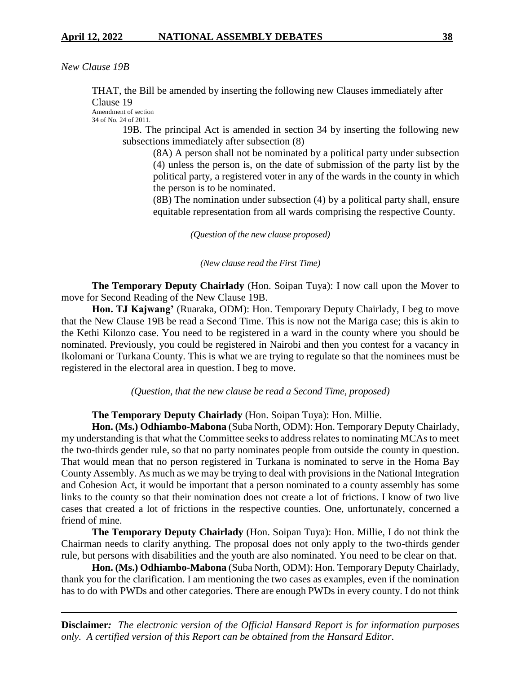*New Clause 19B*

THAT, the Bill be amended by inserting the following new Clauses immediately after Clause 19—

Amendment of section 34 of No. 24 of 2011.

> 19B. The principal Act is amended in section 34 by inserting the following new subsections immediately after subsection (8)—

(8A) A person shall not be nominated by a political party under subsection (4) unless the person is, on the date of submission of the party list by the political party, a registered voter in any of the wards in the county in which the person is to be nominated.

(8B) The nomination under subsection (4) by a political party shall, ensure equitable representation from all wards comprising the respective County.

*(Question of the new clause proposed)*

*(New clause read the First Time)*

**The Temporary Deputy Chairlady** (Hon. Soipan Tuya): I now call upon the Mover to move for Second Reading of the New Clause 19B.

Hon. TJ Kajwang' (Ruaraka, ODM): Hon. Temporary Deputy Chairlady, I beg to move that the New Clause 19B be read a Second Time. This is now not the Mariga case; this is akin to the Kethi Kilonzo case. You need to be registered in a ward in the county where you should be nominated. Previously, you could be registered in Nairobi and then you contest for a vacancy in Ikolomani or Turkana County. This is what we are trying to regulate so that the nominees must be registered in the electoral area in question. I beg to move.

*(Question, that the new clause be read a Second Time, proposed)*

**The Temporary Deputy Chairlady** (Hon. Soipan Tuya): Hon. Millie.

**Hon. (Ms.) Odhiambo-Mabona** (Suba North, ODM): Hon. Temporary Deputy Chairlady, my understanding is that what the Committee seeks to address relates to nominating MCAs to meet the two-thirds gender rule, so that no party nominates people from outside the county in question. That would mean that no person registered in Turkana is nominated to serve in the Homa Bay County Assembly. As much as we may be trying to deal with provisions in the National Integration and Cohesion Act, it would be important that a person nominated to a county assembly has some links to the county so that their nomination does not create a lot of frictions. I know of two live cases that created a lot of frictions in the respective counties. One, unfortunately, concerned a friend of mine.

**The Temporary Deputy Chairlady** (Hon. Soipan Tuya): Hon. Millie, I do not think the Chairman needs to clarify anything. The proposal does not only apply to the two-thirds gender rule, but persons with disabilities and the youth are also nominated. You need to be clear on that.

**Hon. (Ms.) Odhiambo-Mabona** (Suba North, ODM): Hon. Temporary Deputy Chairlady, thank you for the clarification. I am mentioning the two cases as examples, even if the nomination has to do with PWDs and other categories. There are enough PWDs in every county. I do not think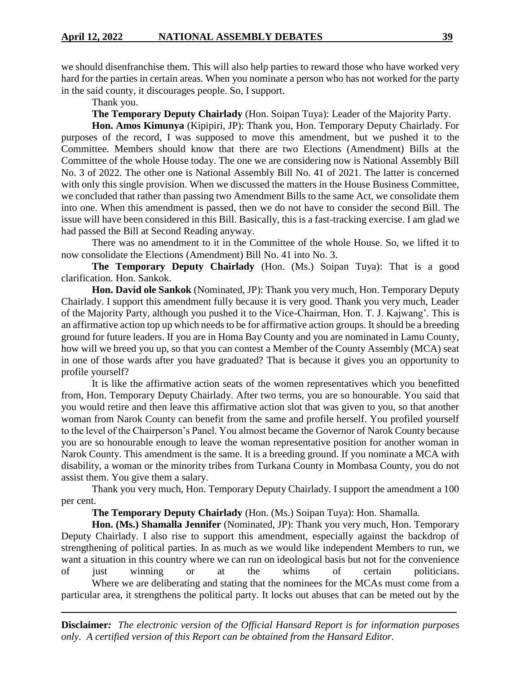we should disenfranchise them. This will also help parties to reward those who have worked very hard for the parties in certain areas. When you nominate a person who has not worked for the party in the said county, it discourages people. So, I support.

Thank you.

**The Temporary Deputy Chairlady** (Hon. Soipan Tuya): Leader of the Majority Party.

**Hon. Amos Kimunya** (Kipipiri, JP): Thank you, Hon. Temporary Deputy Chairlady. For purposes of the record, I was supposed to move this amendment, but we pushed it to the Committee. Members should know that there are two Elections (Amendment) Bills at the Committee of the whole House today. The one we are considering now is National Assembly Bill No. 3 of 2022. The other one is National Assembly Bill No. 41 of 2021. The latter is concerned with only this single provision. When we discussed the matters in the House Business Committee, we concluded that rather than passing two Amendment Bills to the same Act, we consolidate them into one. When this amendment is passed, then we do not have to consider the second Bill. The issue will have been considered in this Bill. Basically, this is a fast-tracking exercise. I am glad we had passed the Bill at Second Reading anyway.

There was no amendment to it in the Committee of the whole House. So, we lifted it to now consolidate the Elections (Amendment) Bill No. 41 into No. 3.

**The Temporary Deputy Chairlady** (Hon. (Ms.) Soipan Tuya): That is a good clarification. Hon. Sankok.

**Hon. David ole Sankok** (Nominated, JP): Thank you very much, Hon. Temporary Deputy Chairlady. I support this amendment fully because it is very good. Thank you very much, Leader of the Majority Party, although you pushed it to the Vice-Chairman, Hon. T. J. Kajwang'. This is an affirmative action top up which needs to be for affirmative action groups. It should be a breeding ground for future leaders. If you are in Homa Bay County and you are nominated in Lamu County, how will we breed you up, so that you can contest a Member of the County Assembly (MCA) seat in one of those wards after you have graduated? That is because it gives you an opportunity to profile yourself?

It is like the affirmative action seats of the women representatives which you benefitted from, Hon. Temporary Deputy Chairlady. After two terms, you are so honourable. You said that you would retire and then leave this affirmative action slot that was given to you, so that another woman from Narok County can benefit from the same and profile herself. You profiled yourself to the level of the Chairperson's Panel. You almost became the Governor of Narok County because you are so honourable enough to leave the woman representative position for another woman in Narok County. This amendment is the same. It is a breeding ground. If you nominate a MCA with disability, a woman or the minority tribes from Turkana County in Mombasa County, you do not assist them. You give them a salary.

Thank you very much, Hon. Temporary Deputy Chairlady. I support the amendment a 100 per cent.

**The Temporary Deputy Chairlady** (Hon. (Ms.) Soipan Tuya): Hon. Shamalla.

**Hon. (Ms.) Shamalla Jennifer** (Nominated, JP): Thank you very much, Hon. Temporary Deputy Chairlady. I also rise to support this amendment, especially against the backdrop of strengthening of political parties. In as much as we would like independent Members to run, we want a situation in this country where we can run on ideological basis but not for the convenience of just winning or at the whims of certain politicians.

Where we are deliberating and stating that the nominees for the MCAs must come from a particular area, it strengthens the political party. It locks out abuses that can be meted out by the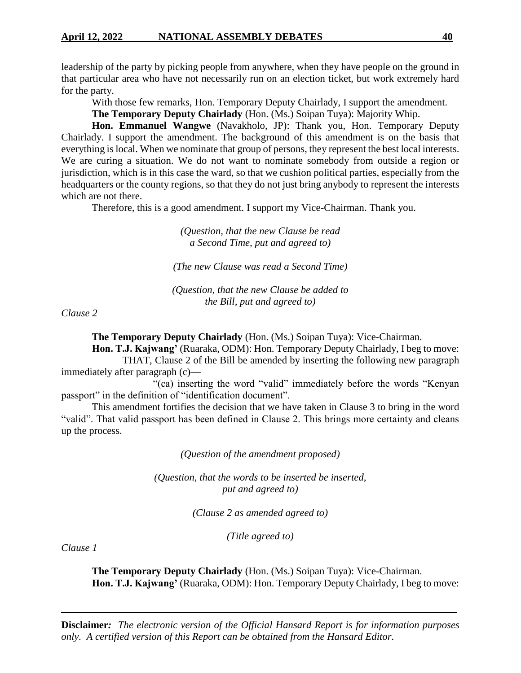leadership of the party by picking people from anywhere, when they have people on the ground in that particular area who have not necessarily run on an election ticket, but work extremely hard for the party.

With those few remarks, Hon. Temporary Deputy Chairlady, I support the amendment.

**The Temporary Deputy Chairlady** (Hon. (Ms.) Soipan Tuya): Majority Whip.

**Hon. Emmanuel Wangwe** (Navakholo, JP): Thank you, Hon. Temporary Deputy Chairlady. I support the amendment. The background of this amendment is on the basis that everything is local. When we nominate that group of persons, they represent the best local interests. We are curing a situation. We do not want to nominate somebody from outside a region or jurisdiction, which is in this case the ward, so that we cushion political parties, especially from the headquarters or the county regions, so that they do not just bring anybody to represent the interests which are not there.

Therefore, this is a good amendment. I support my Vice-Chairman. Thank you.

*(Question, that the new Clause be read a Second Time, put and agreed to)*

*(The new Clause was read a Second Time)*

*(Question, that the new Clause be added to the Bill, put and agreed to)*

*Clause 2*

**The Temporary Deputy Chairlady** (Hon. (Ms.) Soipan Tuya): Vice-Chairman.

**Hon. T.J. Kajwang'** (Ruaraka, ODM): Hon. Temporary Deputy Chairlady, I beg to move: THAT, Clause 2 of the Bill be amended by inserting the following new paragraph immediately after paragraph (c)—

"(ca) inserting the word "valid" immediately before the words "Kenyan passport" in the definition of "identification document".

This amendment fortifies the decision that we have taken in Clause 3 to bring in the word "valid". That valid passport has been defined in Clause 2. This brings more certainty and cleans up the process.

*(Question of the amendment proposed)*

*(Question, that the words to be inserted be inserted, put and agreed to)*

*(Clause 2 as amended agreed to)*

*(Title agreed to)*

*Clause 1*

**The Temporary Deputy Chairlady** (Hon. (Ms.) Soipan Tuya): Vice-Chairman. **Hon. T.J. Kajwang'** (Ruaraka, ODM): Hon. Temporary Deputy Chairlady, I beg to move: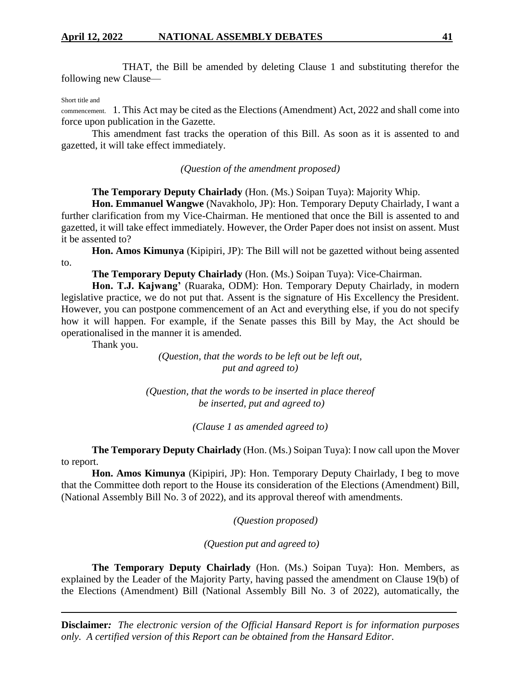THAT, the Bill be amended by deleting Clause 1 and substituting therefor the following new Clause—

#### Short title and

commencement. 1. This Act may be cited as the Elections (Amendment) Act, 2022 and shall come into force upon publication in the Gazette.

This amendment fast tracks the operation of this Bill. As soon as it is assented to and gazetted, it will take effect immediately.

*(Question of the amendment proposed)*

**The Temporary Deputy Chairlady** (Hon. (Ms.) Soipan Tuya): Majority Whip.

**Hon. Emmanuel Wangwe** (Navakholo, JP): Hon. Temporary Deputy Chairlady, I want a further clarification from my Vice-Chairman. He mentioned that once the Bill is assented to and gazetted, it will take effect immediately. However, the Order Paper does not insist on assent. Must it be assented to?

**Hon. Amos Kimunya** (Kipipiri, JP): The Bill will not be gazetted without being assented to.

**The Temporary Deputy Chairlady** (Hon. (Ms.) Soipan Tuya): Vice-Chairman.

**Hon. T.J. Kajwang'** (Ruaraka, ODM): Hon. Temporary Deputy Chairlady, in modern legislative practice, we do not put that. Assent is the signature of His Excellency the President. However, you can postpone commencement of an Act and everything else, if you do not specify how it will happen. For example, if the Senate passes this Bill by May, the Act should be operationalised in the manner it is amended.

Thank you.

*(Question, that the words to be left out be left out, put and agreed to)*

*(Question, that the words to be inserted in place thereof be inserted, put and agreed to)*

*(Clause 1 as amended agreed to)*

**The Temporary Deputy Chairlady** (Hon. (Ms.) Soipan Tuya): I now call upon the Mover to report.

**Hon. Amos Kimunya** (Kipipiri, JP): Hon. Temporary Deputy Chairlady, I beg to move that the Committee doth report to the House its consideration of the Elections (Amendment) Bill, (National Assembly Bill No. 3 of 2022), and its approval thereof with amendments.

*(Question proposed)*

*(Question put and agreed to)*

**The Temporary Deputy Chairlady** (Hon. (Ms.) Soipan Tuya): Hon. Members, as explained by the Leader of the Majority Party, having passed the amendment on Clause 19(b) of the Elections (Amendment) Bill (National Assembly Bill No. 3 of 2022), automatically, the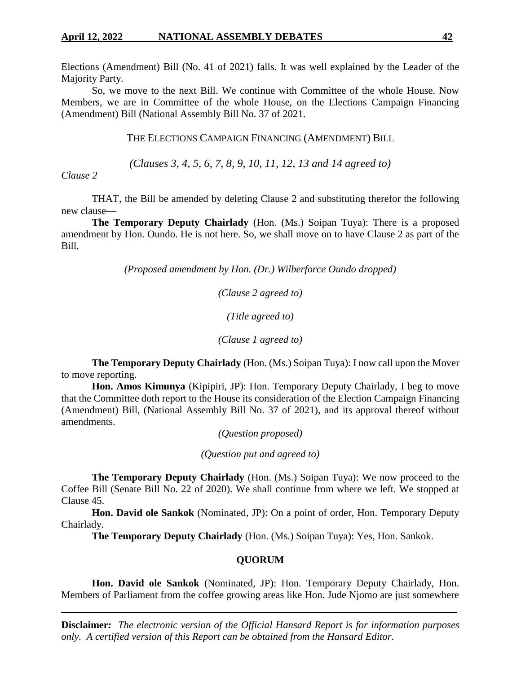Elections (Amendment) Bill (No. 41 of 2021) falls. It was well explained by the Leader of the Majority Party.

So, we move to the next Bill. We continue with Committee of the whole House. Now Members, we are in Committee of the whole House, on the Elections Campaign Financing (Amendment) Bill (National Assembly Bill No. 37 of 2021.

THE ELECTIONS CAMPAIGN FINANCING (AMENDMENT) BILL

*(Clauses 3, 4, 5, 6, 7, 8, 9, 10, 11, 12, 13 and 14 agreed to)*

# *Clause 2*

THAT, the Bill be amended by deleting Clause 2 and substituting therefor the following new clause—

**The Temporary Deputy Chairlady** (Hon. (Ms.) Soipan Tuya): There is a proposed amendment by Hon. Oundo. He is not here. So, we shall move on to have Clause 2 as part of the Bill.

*(Proposed amendment by Hon. (Dr.) Wilberforce Oundo dropped)*

*(Clause 2 agreed to)*

*(Title agreed to)*

*(Clause 1 agreed to)*

**The Temporary Deputy Chairlady** (Hon. (Ms.) Soipan Tuya): I now call upon the Mover to move reporting.

**Hon. Amos Kimunya** (Kipipiri, JP): Hon. Temporary Deputy Chairlady, I beg to move that the Committee doth report to the House its consideration of the Election Campaign Financing (Amendment) Bill, (National Assembly Bill No. 37 of 2021), and its approval thereof without amendments.

*(Question proposed)*

*(Question put and agreed to)*

**The Temporary Deputy Chairlady** (Hon. (Ms.) Soipan Tuya): We now proceed to the Coffee Bill (Senate Bill No. 22 of 2020). We shall continue from where we left. We stopped at Clause 45.

**Hon. David ole Sankok** (Nominated, JP): On a point of order, Hon. Temporary Deputy Chairlady.

**The Temporary Deputy Chairlady** (Hon. (Ms.) Soipan Tuya): Yes, Hon. Sankok.

# **QUORUM**

**Hon. David ole Sankok** (Nominated, JP): Hon. Temporary Deputy Chairlady, Hon. Members of Parliament from the coffee growing areas like Hon. Jude Njomo are just somewhere